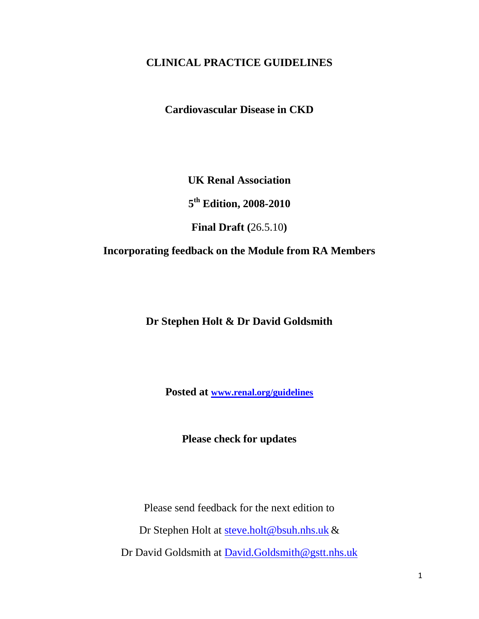# **CLINICAL PRACTICE GUIDELINES**

**Cardiovascular Disease in CKD** 

**UK Renal Association**

**5 th Edition, 2008-2010**

**Final Draft (**26.5.10**)**

# **Incorporating feedback on the Module from RA Members**

**Dr Stephen Holt & Dr David Goldsmith**

**Posted at [www.renal.org/guidelines](http://www.renal.org/guidelines)**

**Please check for updates**

Please send feedback for the next edition to

Dr Stephen Holt at [steve.holt@bsuh.nhs.uk](mailto:steve.holt@bsuh.nhs.uk) &

Dr David Goldsmith at [David.Goldsmith@gstt.nhs.uk](mailto:David.Goldsmith@gstt.nhs.uk)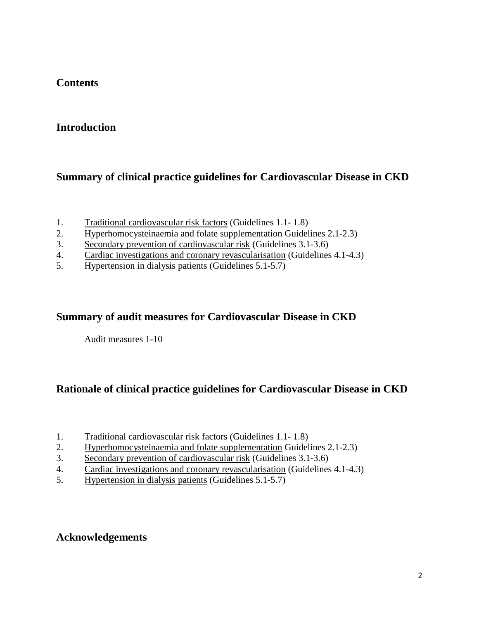# **Contents**

# **Introduction**

# **Summary of clinical practice guidelines for Cardiovascular Disease in CKD**

- 1. Traditional cardiovascular risk factors (Guidelines 1.1- 1.8)
- 2. Hyperhomocysteinaemia and folate supplementation Guidelines 2.1-2.3)
- 3. Secondary prevention of cardiovascular risk (Guidelines 3.1-3.6)
- 4. Cardiac investigations and coronary revascularisation (Guidelines 4.1-4.3)
- 5. Hypertension in dialysis patients (Guidelines 5.1-5.7)

# **Summary of audit measures for Cardiovascular Disease in CKD**

Audit measures 1-10

# **Rationale of clinical practice guidelines for Cardiovascular Disease in CKD**

- 1. Traditional cardiovascular risk factors (Guidelines 1.1- 1.8)
- 2. Hyperhomocysteinaemia and folate supplementation Guidelines 2.1-2.3)
- 3. Secondary prevention of cardiovascular risk (Guidelines 3.1-3.6)
- 4. Cardiac investigations and coronary revascularisation (Guidelines 4.1-4.3)
- 5. Hypertension in dialysis patients (Guidelines 5.1-5.7)

# **Acknowledgements**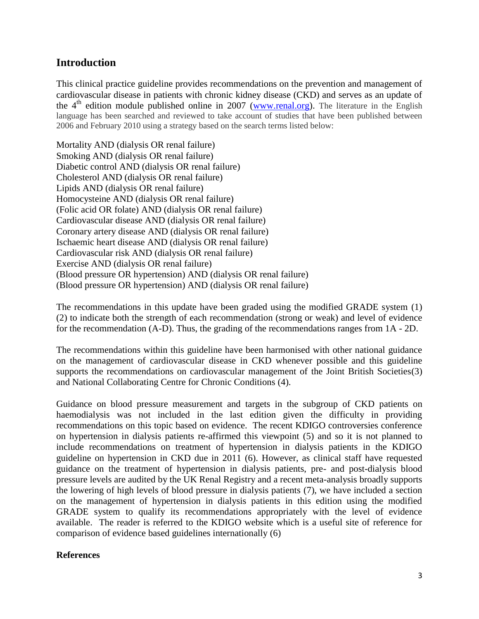## **Introduction**

This clinical practice guideline provides recommendations on the prevention and management of cardiovascular disease in patients with chronic kidney disease (CKD) and serves as an update of the  $4<sup>th</sup>$  edition module published online in 2007 [\(www.renal.org\)](http://www.renal.org/). The literature in the English language has been searched and reviewed to take account of studies that have been published between 2006 and February 2010 using a strategy based on the search terms listed below:

Mortality AND (dialysis OR renal failure) Smoking AND (dialysis OR renal failure) Diabetic control AND (dialysis OR renal failure) Cholesterol AND (dialysis OR renal failure) Lipids AND (dialysis OR renal failure) Homocysteine AND (dialysis OR renal failure) (Folic acid OR folate) AND (dialysis OR renal failure) Cardiovascular disease AND (dialysis OR renal failure) Coronary artery disease AND (dialysis OR renal failure) Ischaemic heart disease AND (dialysis OR renal failure) Cardiovascular risk AND (dialysis OR renal failure) Exercise AND (dialysis OR renal failure) (Blood pressure OR hypertension) AND (dialysis OR renal failure) (Blood pressure OR hypertension) AND (dialysis OR renal failure)

The recommendations in this update have been graded using the modified GRADE system (1) (2) to indicate both the strength of each recommendation (strong or weak) and level of evidence for the recommendation (A-D). Thus, the grading of the recommendations ranges from 1A - 2D.

The recommendations within this guideline have been harmonised with other national guidance on the management of cardiovascular disease in CKD whenever possible and this guideline supports the recommendations on cardiovascular management of the Joint British Societies(3) and National Collaborating Centre for Chronic Conditions (4).

Guidance on blood pressure measurement and targets in the subgroup of CKD patients on haemodialysis was not included in the last edition given the difficulty in providing recommendations on this topic based on evidence. The recent KDIGO controversies conference on hypertension in dialysis patients re-affirmed this viewpoint (5) and so it is not planned to include recommendations on treatment of hypertension in dialysis patients in the KDIGO guideline on hypertension in CKD due in 2011 (6). However, as clinical staff have requested guidance on the treatment of hypertension in dialysis patients, pre- and post-dialysis blood pressure levels are audited by the UK Renal Registry and a recent meta-analysis broadly supports the lowering of high levels of blood pressure in dialysis patients (7), we have included a section on the management of hypertension in dialysis patients in this edition using the modified GRADE system to qualify its recommendations appropriately with the level of evidence available. The reader is referred to the KDIGO website which is a useful site of reference for comparison of evidence based guidelines internationally (6)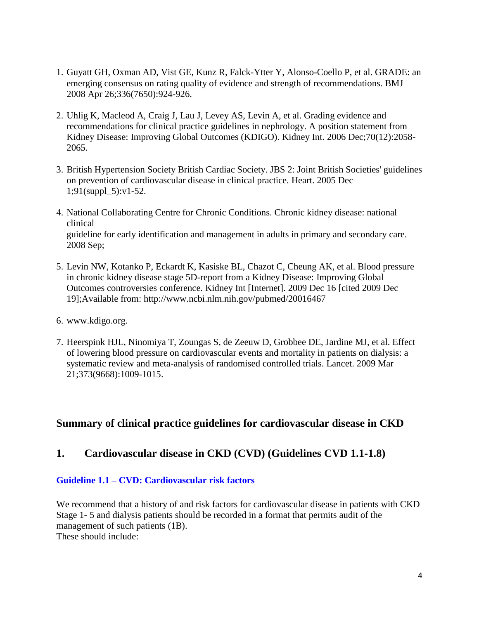- 1. Guyatt GH, Oxman AD, Vist GE, Kunz R, Falck-Ytter Y, Alonso-Coello P, et al. GRADE: an emerging consensus on rating quality of evidence and strength of recommendations. BMJ 2008 Apr 26;336(7650):924-926.
- 2. Uhlig K, Macleod A, Craig J, Lau J, Levey AS, Levin A, et al. Grading evidence and recommendations for clinical practice guidelines in nephrology. A position statement from Kidney Disease: Improving Global Outcomes (KDIGO). Kidney Int. 2006 Dec;70(12):2058- 2065.
- 3. British Hypertension Society British Cardiac Society. JBS 2: Joint British Societies' guidelines on prevention of cardiovascular disease in clinical practice. Heart. 2005 Dec 1;91(suppl\_5):v1-52.
- 4. National Collaborating Centre for Chronic Conditions. Chronic kidney disease: national clinical guideline for early identification and management in adults in primary and secondary care. 2008 Sep;
- 5. Levin NW, Kotanko P, Eckardt K, Kasiske BL, Chazot C, Cheung AK, et al. Blood pressure in chronic kidney disease stage 5D-report from a Kidney Disease: Improving Global Outcomes controversies conference. Kidney Int [Internet]. 2009 Dec 16 [cited 2009 Dec 19];Available from: http://www.ncbi.nlm.nih.gov/pubmed/20016467
- 6. www.kdigo.org.
- 7. Heerspink HJL, Ninomiya T, Zoungas S, de Zeeuw D, Grobbee DE, Jardine MJ, et al. Effect of lowering blood pressure on cardiovascular events and mortality in patients on dialysis: a systematic review and meta-analysis of randomised controlled trials. Lancet. 2009 Mar 21;373(9668):1009-1015.

# **Summary of clinical practice guidelines for cardiovascular disease in CKD**

# **1. Cardiovascular disease in CKD (CVD) (Guidelines CVD 1.1-1.8)**

#### **Guideline 1.1 – CVD: Cardiovascular risk factors**

We recommend that a history of and risk factors for cardiovascular disease in patients with CKD Stage 1- 5 and dialysis patients should be recorded in a format that permits audit of the management of such patients (1B). These should include: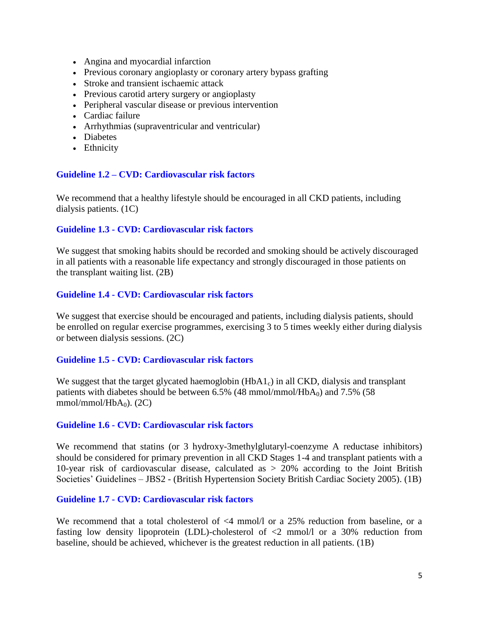- Angina and myocardial infarction
- Previous coronary angioplasty or coronary artery bypass grafting
- Stroke and transient ischaemic attack
- Previous carotid artery surgery or angioplasty
- Peripheral vascular disease or previous intervention
- Cardiac failure
- Arrhythmias (supraventricular and ventricular)
- Diabetes
- Ethnicity

#### **Guideline 1.2 – CVD: Cardiovascular risk factors**

We recommend that a healthy lifestyle should be encouraged in all CKD patients, including dialysis patients. (1C)

#### **Guideline 1.3 - CVD: Cardiovascular risk factors**

We suggest that smoking habits should be recorded and smoking should be actively discouraged in all patients with a reasonable life expectancy and strongly discouraged in those patients on the transplant waiting list. (2B)

#### **Guideline 1.4 - CVD: Cardiovascular risk factors**

We suggest that exercise should be encouraged and patients, including dialysis patients, should be enrolled on regular exercise programmes, exercising 3 to 5 times weekly either during dialysis or between dialysis sessions. (2C)

#### **Guideline 1.5 - CVD: Cardiovascular risk factors**

We suggest that the target glycated haemoglobin  $(HbA1_c)$  in all CKD, dialysis and transplant patients with diabetes should be between  $6.5\%$  (48 mmol/mmol/HbA<sub>0</sub>) and 7.5% (58 mmol/mmol/Hb $A_0$ ). (2C)

#### **Guideline 1.6 - CVD: Cardiovascular risk factors**

We recommend that statins (or 3 hydroxy-3methylglutaryl-coenzyme A reductase inhibitors) should be considered for primary prevention in all CKD Stages 1-4 and transplant patients with a 10-year risk of cardiovascular disease, calculated as > 20% according to the Joint British Societies" Guidelines – JBS2 - (British Hypertension Society British Cardiac Society 2005). (1B)

#### **Guideline 1.7 - CVD: Cardiovascular risk factors**

We recommend that a total cholesterol of <4 mmol/l or a 25% reduction from baseline, or a fasting low density lipoprotein (LDL)-cholesterol of <2 mmol/l or a 30% reduction from baseline, should be achieved, whichever is the greatest reduction in all patients. (1B)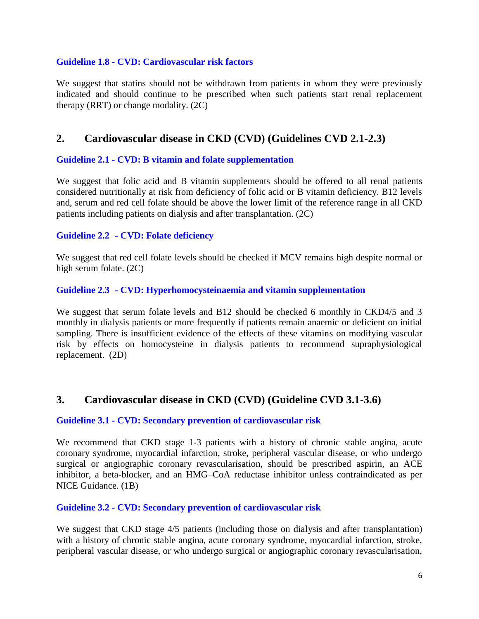#### **Guideline 1.8 - CVD: Cardiovascular risk factors**

We suggest that statins should not be withdrawn from patients in whom they were previously indicated and should continue to be prescribed when such patients start renal replacement therapy (RRT) or change modality. (2C)

# **2. Cardiovascular disease in CKD (CVD) (Guidelines CVD 2.1-2.3)**

## **Guideline 2.1 - CVD: B vitamin and folate supplementation**

We suggest that folic acid and B vitamin supplements should be offered to all renal patients considered nutritionally at risk from deficiency of folic acid or B vitamin deficiency. B12 levels and, serum and red cell folate should be above the lower limit of the reference range in all CKD patients including patients on dialysis and after transplantation. (2C)

#### **Guideline 2.2 - CVD: Folate deficiency**

We suggest that red cell folate levels should be checked if MCV remains high despite normal or high serum folate. (2C)

### **Guideline 2.3 - CVD: Hyperhomocysteinaemia and vitamin supplementation**

We suggest that serum folate levels and B12 should be checked 6 monthly in CKD4/5 and 3 monthly in dialysis patients or more frequently if patients remain anaemic or deficient on initial sampling. There is insufficient evidence of the effects of these vitamins on modifying vascular risk by effects on homocysteine in dialysis patients to recommend supraphysiological replacement. (2D)

## **3. Cardiovascular disease in CKD (CVD) (Guideline CVD 3.1-3.6)**

#### **Guideline 3.1 - CVD: Secondary prevention of cardiovascular risk**

We recommend that CKD stage 1-3 patients with a history of chronic stable angina, acute coronary syndrome, myocardial infarction, stroke, peripheral vascular disease, or who undergo surgical or angiographic coronary revascularisation, should be prescribed aspirin, an ACE inhibitor, a beta-blocker, and an HMG–CoA reductase inhibitor unless contraindicated as per NICE Guidance. (1B)

#### **Guideline 3.2 - CVD: Secondary prevention of cardiovascular risk**

We suggest that CKD stage  $4/5$  patients (including those on dialysis and after transplantation) with a history of chronic stable angina, acute coronary syndrome, myocardial infarction, stroke, peripheral vascular disease, or who undergo surgical or angiographic coronary revascularisation,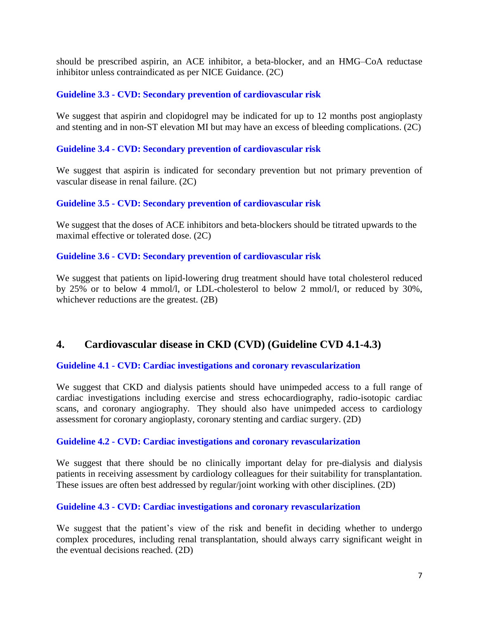should be prescribed aspirin, an ACE inhibitor, a beta-blocker, and an HMG–CoA reductase inhibitor unless contraindicated as per NICE Guidance. (2C)

## **Guideline 3.3 - CVD: Secondary prevention of cardiovascular risk**

We suggest that aspirin and clopidogrel may be indicated for up to 12 months post angioplasty and stenting and in non-ST elevation MI but may have an excess of bleeding complications. (2C)

## **Guideline 3.4 - CVD: Secondary prevention of cardiovascular risk**

We suggest that aspirin is indicated for secondary prevention but not primary prevention of vascular disease in renal failure. (2C)

### **Guideline 3.5 - CVD: Secondary prevention of cardiovascular risk**

We suggest that the doses of ACE inhibitors and beta-blockers should be titrated upwards to the maximal effective or tolerated dose. (2C)

## **Guideline 3.6 - CVD: Secondary prevention of cardiovascular risk**

We suggest that patients on lipid-lowering drug treatment should have total cholesterol reduced by 25% or to below 4 mmol/l, or LDL-cholesterol to below 2 mmol/l, or reduced by 30%, whichever reductions are the greatest. (2B)

# **4. Cardiovascular disease in CKD (CVD) (Guideline CVD 4.1-4.3)**

## **Guideline 4.1 - CVD: Cardiac investigations and coronary revascularization**

We suggest that CKD and dialysis patients should have unimpeded access to a full range of cardiac investigations including exercise and stress echocardiography, radio-isotopic cardiac scans, and coronary angiography. They should also have unimpeded access to cardiology assessment for coronary angioplasty, coronary stenting and cardiac surgery. (2D)

## **Guideline 4.2 - CVD: Cardiac investigations and coronary revascularization**

We suggest that there should be no clinically important delay for pre-dialysis and dialysis patients in receiving assessment by cardiology colleagues for their suitability for transplantation. These issues are often best addressed by regular/joint working with other disciplines. (2D)

## **Guideline 4.3 - CVD: Cardiac investigations and coronary revascularization**

We suggest that the patient's view of the risk and benefit in deciding whether to undergo complex procedures, including renal transplantation, should always carry significant weight in the eventual decisions reached. (2D)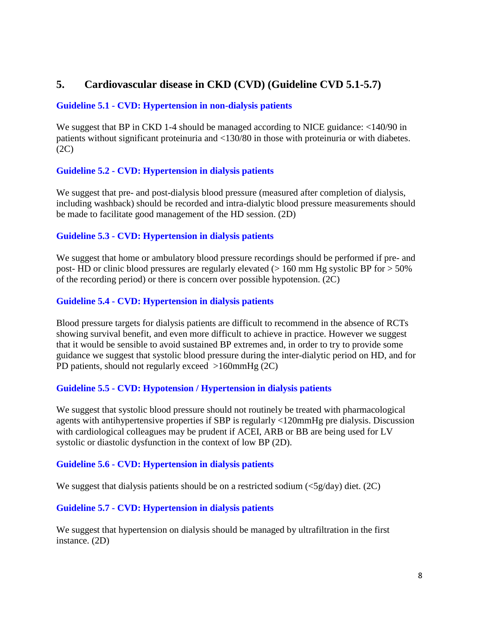# **5. Cardiovascular disease in CKD (CVD) (Guideline CVD 5.1-5.7)**

## **Guideline 5.1 - CVD: Hypertension in non-dialysis patients**

We suggest that BP in CKD 1-4 should be managed according to NICE guidance:  $\langle 140/90 \rangle$  in patients without significant proteinuria and <130/80 in those with proteinuria or with diabetes.  $(2C)$ 

## **Guideline 5.2 - CVD: Hypertension in dialysis patients**

We suggest that pre- and post-dialysis blood pressure (measured after completion of dialysis, including washback) should be recorded and intra-dialytic blood pressure measurements should be made to facilitate good management of the HD session. (2D)

## **Guideline 5.3 - CVD: Hypertension in dialysis patients**

We suggest that home or ambulatory blood pressure recordings should be performed if pre- and post- HD or clinic blood pressures are regularly elevated ( $> 160$  mm Hg systolic BP for  $> 50\%$ of the recording period) or there is concern over possible hypotension. (2C)

## **Guideline 5.4 - CVD: Hypertension in dialysis patients**

Blood pressure targets for dialysis patients are difficult to recommend in the absence of RCTs showing survival benefit, and even more difficult to achieve in practice. However we suggest that it would be sensible to avoid sustained BP extremes and, in order to try to provide some guidance we suggest that systolic blood pressure during the inter-dialytic period on HD, and for PD patients, should not regularly exceed >160mmHg (2C)

## **Guideline 5.5 - CVD: Hypotension / Hypertension in dialysis patients**

We suggest that systolic blood pressure should not routinely be treated with pharmacological agents with antihypertensive properties if SBP is regularly <120mmHg pre dialysis. Discussion with cardiological colleagues may be prudent if ACEI, ARB or BB are being used for LV systolic or diastolic dysfunction in the context of low BP (2D).

## **Guideline 5.6 - CVD: Hypertension in dialysis patients**

We suggest that dialysis patients should be on a restricted sodium  $\langle \langle 5g/day \rangle$  diet. (2C)

## **Guideline 5.7 - CVD: Hypertension in dialysis patients**

We suggest that hypertension on dialysis should be managed by ultrafiltration in the first instance. (2D)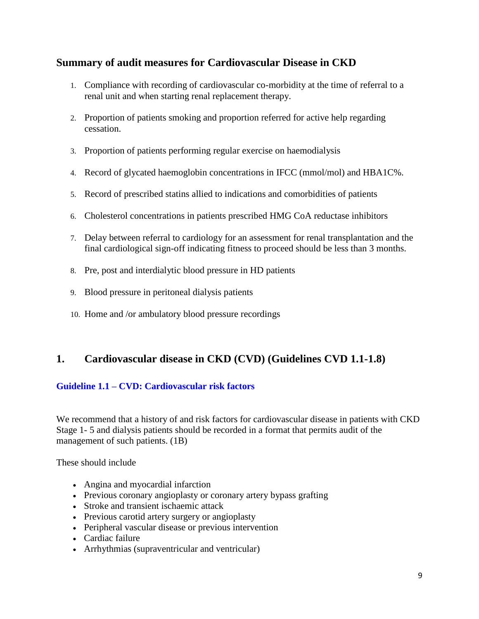# **Summary of audit measures for Cardiovascular Disease in CKD**

- 1. Compliance with recording of cardiovascular co-morbidity at the time of referral to a renal unit and when starting renal replacement therapy.
- 2. Proportion of patients smoking and proportion referred for active help regarding cessation.
- 3. Proportion of patients performing regular exercise on haemodialysis
- 4. Record of glycated haemoglobin concentrations in IFCC (mmol/mol) and HBA1C%.
- 5. Record of prescribed statins allied to indications and comorbidities of patients
- 6. Cholesterol concentrations in patients prescribed HMG CoA reductase inhibitors
- 7. Delay between referral to cardiology for an assessment for renal transplantation and the final cardiological sign-off indicating fitness to proceed should be less than 3 months.
- 8. Pre, post and interdialytic blood pressure in HD patients
- 9. Blood pressure in peritoneal dialysis patients
- 10. Home and /or ambulatory blood pressure recordings

# **1. Cardiovascular disease in CKD (CVD) (Guidelines CVD 1.1-1.8)**

## **Guideline 1.1 – CVD: Cardiovascular risk factors**

We recommend that a history of and risk factors for cardiovascular disease in patients with CKD Stage 1- 5 and dialysis patients should be recorded in a format that permits audit of the management of such patients. (1B)

These should include

- Angina and myocardial infarction
- Previous coronary angioplasty or coronary artery bypass grafting
- Stroke and transient ischaemic attack
- Previous carotid artery surgery or angioplasty
- Peripheral vascular disease or previous intervention
- Cardiac failure
- Arrhythmias (supraventricular and ventricular)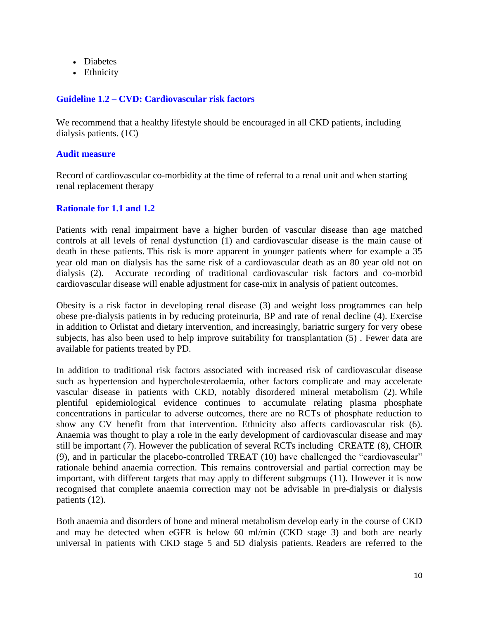- Diabetes
- Ethnicity

### **Guideline 1.2 – CVD: Cardiovascular risk factors**

We recommend that a healthy lifestyle should be encouraged in all CKD patients, including dialysis patients. (1C)

#### **Audit measure**

Record of cardiovascular co-morbidity at the time of referral to a renal unit and when starting renal replacement therapy

#### **Rationale for 1.1 and 1.2**

Patients with renal impairment have a higher burden of vascular disease than age matched controls at all levels of renal dysfunction (1) and cardiovascular disease is the main cause of death in these patients. This risk is more apparent in younger patients where for example a 35 year old man on dialysis has the same risk of a cardiovascular death as an 80 year old not on dialysis (2). Accurate recording of traditional cardiovascular risk factors and co-morbid cardiovascular disease will enable adjustment for case-mix in analysis of patient outcomes.

Obesity is a risk factor in developing renal disease (3) and weight loss programmes can help obese pre-dialysis patients in by reducing proteinuria, BP and rate of renal decline (4). Exercise in addition to Orlistat and dietary intervention, and increasingly, bariatric surgery for very obese subjects, has also been used to help improve suitability for transplantation (5) . Fewer data are available for patients treated by PD.

In addition to traditional risk factors associated with increased risk of cardiovascular disease such as hypertension and hypercholesterolaemia, other factors complicate and may accelerate vascular disease in patients with CKD, notably disordered mineral metabolism (2). While plentiful epidemiological evidence continues to accumulate relating plasma phosphate concentrations in particular to adverse outcomes, there are no RCTs of phosphate reduction to show any CV benefit from that intervention. Ethnicity also affects cardiovascular risk (6). Anaemia was thought to play a role in the early development of cardiovascular disease and may still be important (7). However the publication of several RCTs including CREATE (8), CHOIR (9), and in particular the placebo-controlled TREAT (10) have challenged the "cardiovascular" rationale behind anaemia correction. This remains controversial and partial correction may be important, with different targets that may apply to different subgroups (11). However it is now recognised that complete anaemia correction may not be advisable in pre-dialysis or dialysis patients (12).

Both anaemia and disorders of bone and mineral metabolism develop early in the course of CKD and may be detected when eGFR is below 60 ml/min (CKD stage 3) and both are nearly universal in patients with CKD stage 5 and 5D dialysis patients. Readers are referred to the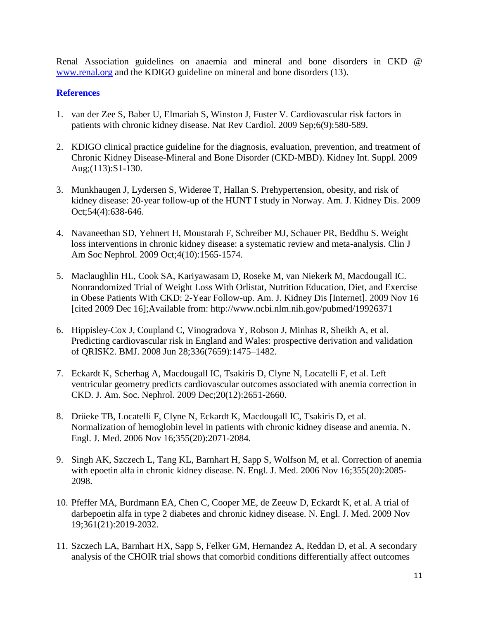Renal Association guidelines on anaemia and mineral and bone disorders in CKD @ [www.renal.org](http://www.renal.org/) and the KDIGO guideline on mineral and bone disorders (13).

- 1. van der Zee S, Baber U, Elmariah S, Winston J, Fuster V. Cardiovascular risk factors in patients with chronic kidney disease. Nat Rev Cardiol. 2009 Sep;6(9):580-589.
- 2. KDIGO clinical practice guideline for the diagnosis, evaluation, prevention, and treatment of Chronic Kidney Disease-Mineral and Bone Disorder (CKD-MBD). Kidney Int. Suppl. 2009 Aug;(113):S1-130.
- 3. Munkhaugen J, Lydersen S, Widerøe T, Hallan S. Prehypertension, obesity, and risk of kidney disease: 20-year follow-up of the HUNT I study in Norway. Am. J. Kidney Dis. 2009 Oct;54(4):638-646.
- 4. Navaneethan SD, Yehnert H, Moustarah F, Schreiber MJ, Schauer PR, Beddhu S. Weight loss interventions in chronic kidney disease: a systematic review and meta-analysis. Clin J Am Soc Nephrol. 2009 Oct;4(10):1565-1574.
- 5. Maclaughlin HL, Cook SA, Kariyawasam D, Roseke M, van Niekerk M, Macdougall IC. Nonrandomized Trial of Weight Loss With Orlistat, Nutrition Education, Diet, and Exercise in Obese Patients With CKD: 2-Year Follow-up. Am. J. Kidney Dis [Internet]. 2009 Nov 16 [cited 2009 Dec 16];Available from: http://www.ncbi.nlm.nih.gov/pubmed/19926371
- 6. Hippisley-Cox J, Coupland C, Vinogradova Y, Robson J, Minhas R, Sheikh A, et al. Predicting cardiovascular risk in England and Wales: prospective derivation and validation of QRISK2. BMJ. 2008 Jun 28;336(7659):1475–1482.
- 7. Eckardt K, Scherhag A, Macdougall IC, Tsakiris D, Clyne N, Locatelli F, et al. Left ventricular geometry predicts cardiovascular outcomes associated with anemia correction in CKD. J. Am. Soc. Nephrol. 2009 Dec;20(12):2651-2660.
- 8. Drüeke TB, Locatelli F, Clyne N, Eckardt K, Macdougall IC, Tsakiris D, et al. Normalization of hemoglobin level in patients with chronic kidney disease and anemia. N. Engl. J. Med. 2006 Nov 16;355(20):2071-2084.
- 9. Singh AK, Szczech L, Tang KL, Barnhart H, Sapp S, Wolfson M, et al. Correction of anemia with epoetin alfa in chronic kidney disease. N. Engl. J. Med. 2006 Nov 16;355(20):2085- 2098.
- 10. Pfeffer MA, Burdmann EA, Chen C, Cooper ME, de Zeeuw D, Eckardt K, et al. A trial of darbepoetin alfa in type 2 diabetes and chronic kidney disease. N. Engl. J. Med. 2009 Nov 19;361(21):2019-2032.
- 11. Szczech LA, Barnhart HX, Sapp S, Felker GM, Hernandez A, Reddan D, et al. A secondary analysis of the CHOIR trial shows that comorbid conditions differentially affect outcomes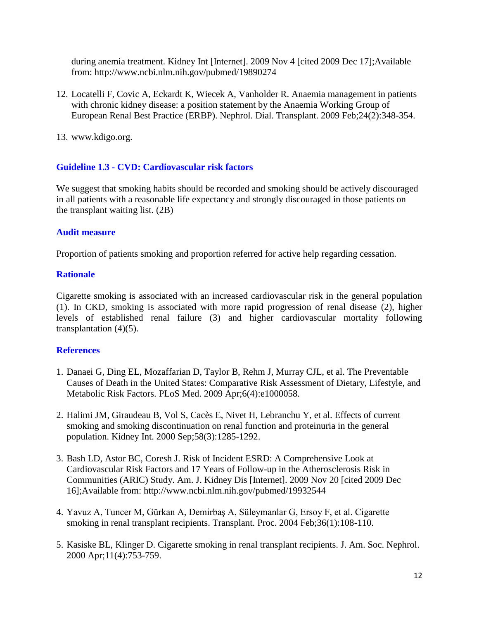during anemia treatment. Kidney Int [Internet]. 2009 Nov 4 [cited 2009 Dec 17];Available from: http://www.ncbi.nlm.nih.gov/pubmed/19890274

- 12. Locatelli F, Covic A, Eckardt K, Wiecek A, Vanholder R. Anaemia management in patients with chronic kidney disease: a position statement by the Anaemia Working Group of European Renal Best Practice (ERBP). Nephrol. Dial. Transplant. 2009 Feb;24(2):348-354.
- 13. www.kdigo.org.

### **Guideline 1.3 - CVD: Cardiovascular risk factors**

We suggest that smoking habits should be recorded and smoking should be actively discouraged in all patients with a reasonable life expectancy and strongly discouraged in those patients on the transplant waiting list. (2B)

#### **Audit measure**

Proportion of patients smoking and proportion referred for active help regarding cessation.

### **Rationale**

Cigarette smoking is associated with an increased cardiovascular risk in the general population (1). In CKD, smoking is associated with more rapid progression of renal disease (2), higher levels of established renal failure (3) and higher cardiovascular mortality following transplantation  $(4)(5)$ .

- 1. Danaei G, Ding EL, Mozaffarian D, Taylor B, Rehm J, Murray CJL, et al. The Preventable Causes of Death in the United States: Comparative Risk Assessment of Dietary, Lifestyle, and Metabolic Risk Factors. PLoS Med. 2009 Apr;6(4):e1000058.
- 2. Halimi JM, Giraudeau B, Vol S, Cacès E, Nivet H, Lebranchu Y, et al. Effects of current smoking and smoking discontinuation on renal function and proteinuria in the general population. Kidney Int. 2000 Sep;58(3):1285-1292.
- 3. Bash LD, Astor BC, Coresh J. Risk of Incident ESRD: A Comprehensive Look at Cardiovascular Risk Factors and 17 Years of Follow-up in the Atherosclerosis Risk in Communities (ARIC) Study. Am. J. Kidney Dis [Internet]. 2009 Nov 20 [cited 2009 Dec 16];Available from: http://www.ncbi.nlm.nih.gov/pubmed/19932544
- 4. Yavuz A, Tuncer M, Gürkan A, Demirbaş A, Süleymanlar G, Ersoy F, et al. Cigarette smoking in renal transplant recipients. Transplant. Proc. 2004 Feb;36(1):108-110.
- 5. Kasiske BL, Klinger D. Cigarette smoking in renal transplant recipients. J. Am. Soc. Nephrol. 2000 Apr;11(4):753-759.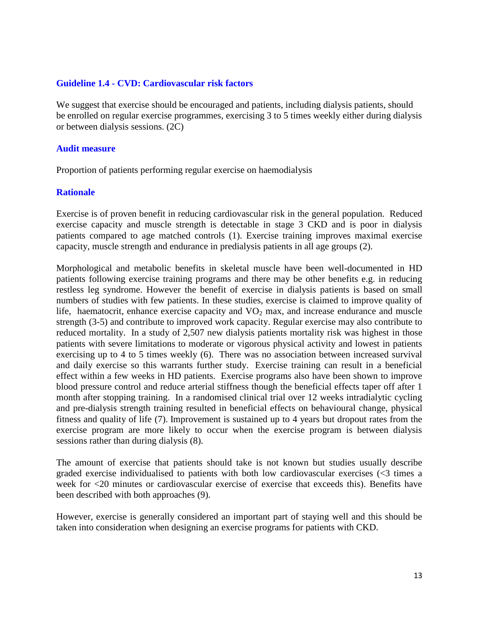#### **Guideline 1.4 - CVD: Cardiovascular risk factors**

We suggest that exercise should be encouraged and patients, including dialysis patients, should be enrolled on regular exercise programmes, exercising 3 to 5 times weekly either during dialysis or between dialysis sessions. (2C)

#### **Audit measure**

Proportion of patients performing regular exercise on haemodialysis

#### **Rationale**

Exercise is of proven benefit in reducing cardiovascular risk in the general population. Reduced exercise capacity and muscle strength is detectable in stage 3 CKD and is poor in dialysis patients compared to age matched controls (1). Exercise training improves maximal exercise capacity, muscle strength and endurance in predialysis patients in all age groups (2).

Morphological and metabolic benefits in skeletal muscle have been well-documented in HD patients following exercise training programs and there may be other benefits e.g. in reducing restless leg syndrome. However the benefit of exercise in dialysis patients is based on small numbers of studies with few patients. In these studies, exercise is claimed to improve quality of life, haematocrit, enhance exercise capacity and  $VO<sub>2</sub>$  max, and increase endurance and muscle strength (3-5) and contribute to improved work capacity. Regular exercise may also contribute to reduced mortality. In a study of 2,507 new dialysis patients mortality risk was highest in those patients with severe limitations to moderate or vigorous physical activity and lowest in patients exercising up to 4 to 5 times weekly (6). There was no association between increased survival and daily exercise so this warrants further study. Exercise training can result in a beneficial effect within a few weeks in HD patients. Exercise programs also have been shown to improve blood pressure control and reduce arterial stiffness though the beneficial effects taper off after 1 month after stopping training. In a randomised clinical trial over 12 weeks intradialytic cycling and pre-dialysis strength training resulted in beneficial effects on behavioural change, physical fitness and quality of life (7). Improvement is sustained up to 4 years but dropout rates from the exercise program are more likely to occur when the exercise program is between dialysis sessions rather than during dialysis (8).

The amount of exercise that patients should take is not known but studies usually describe graded exercise individualised to patients with both low cardiovascular exercises (<3 times a week for <20 minutes or cardiovascular exercise of exercise that exceeds this). Benefits have been described with both approaches (9).

However, exercise is generally considered an important part of staying well and this should be taken into consideration when designing an exercise programs for patients with CKD.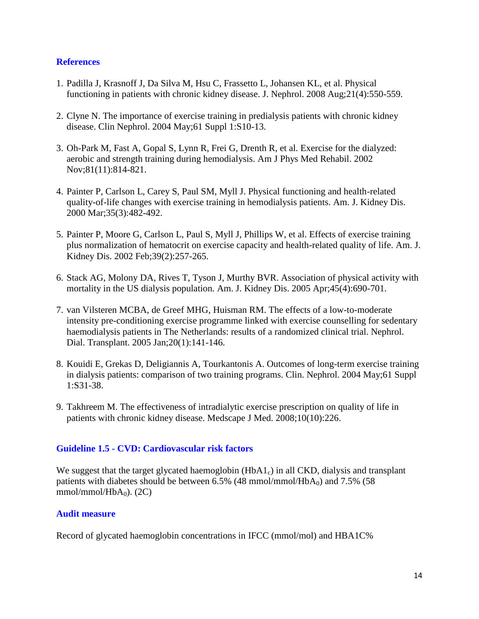### **References**

- 1. Padilla J, Krasnoff J, Da Silva M, Hsu C, Frassetto L, Johansen KL, et al. Physical functioning in patients with chronic kidney disease. J. Nephrol. 2008 Aug;21(4):550-559.
- 2. Clyne N. The importance of exercise training in predialysis patients with chronic kidney disease. Clin Nephrol. 2004 May;61 Suppl 1:S10-13.
- 3. Oh-Park M, Fast A, Gopal S, Lynn R, Frei G, Drenth R, et al. Exercise for the dialyzed: aerobic and strength training during hemodialysis. Am J Phys Med Rehabil. 2002 Nov;81(11):814-821.
- 4. Painter P, Carlson L, Carey S, Paul SM, Myll J. Physical functioning and health-related quality-of-life changes with exercise training in hemodialysis patients. Am. J. Kidney Dis. 2000 Mar;35(3):482-492.
- 5. Painter P, Moore G, Carlson L, Paul S, Myll J, Phillips W, et al. Effects of exercise training plus normalization of hematocrit on exercise capacity and health-related quality of life. Am. J. Kidney Dis. 2002 Feb;39(2):257-265.
- 6. Stack AG, Molony DA, Rives T, Tyson J, Murthy BVR. Association of physical activity with mortality in the US dialysis population. Am. J. Kidney Dis. 2005 Apr;45(4):690-701.
- 7. van Vilsteren MCBA, de Greef MHG, Huisman RM. The effects of a low-to-moderate intensity pre-conditioning exercise programme linked with exercise counselling for sedentary haemodialysis patients in The Netherlands: results of a randomized clinical trial. Nephrol. Dial. Transplant. 2005 Jan;20(1):141-146.
- 8. Kouidi E, Grekas D, Deligiannis A, Tourkantonis A. Outcomes of long-term exercise training in dialysis patients: comparison of two training programs. Clin. Nephrol. 2004 May;61 Suppl 1:S31-38.
- 9. Takhreem M. The effectiveness of intradialytic exercise prescription on quality of life in patients with chronic kidney disease. Medscape J Med. 2008;10(10):226.

## **Guideline 1.5 - CVD: Cardiovascular risk factors**

We suggest that the target glycated haemoglobin  $(HbA1<sub>c</sub>)$  in all CKD, dialysis and transplant patients with diabetes should be between  $6.5\%$  (48 mmol/mmol/HbA<sub>0</sub>) and  $7.5\%$  (58  $mmol/mmol/HbA<sub>0</sub>$ ). (2C)

#### **Audit measure**

Record of glycated haemoglobin concentrations in IFCC (mmol/mol) and HBA1C%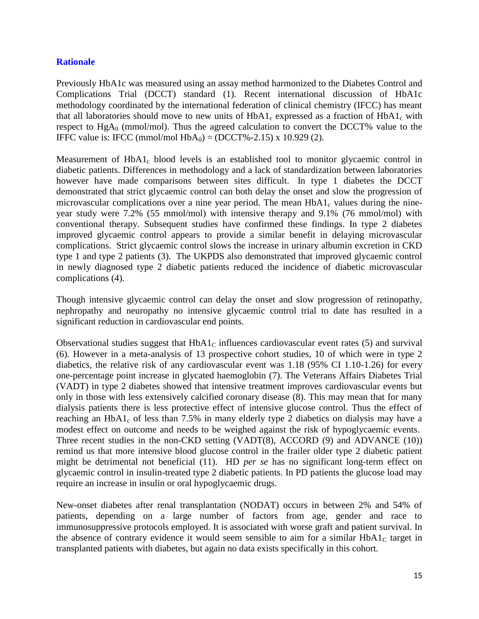### **Rationale**

Previously HbA1c was measured using an assay method harmonized to the Diabetes Control and Complications Trial (DCCT) standard (1). Recent international discussion of HbA1c methodology coordinated by the international federation of clinical chemistry (IFCC) has meant that all laboratories should move to new units of  $HbA1_c$  expressed as a fraction of  $HbA1_c$  with respect to  $HgA_0$  (mmol/mol). Thus the agreed calculation to convert the DCCT% value to the IFFC value is: IFCC (mmol/mol HbA<sub>0</sub>) = (DCCT%-2.15) x 10.929 (2).

Measurement of  $HbA1_c$  blood levels is an established tool to monitor glycaemic control in diabetic patients. Differences in methodology and a lack of standardization between laboratories however have made comparisons between sites difficult. In type 1 diabetes the DCCT demonstrated that strict glycaemic control can both delay the onset and slow the progression of microvascular complications over a nine year period. The mean  $HbA1_c$  values during the nineyear study were 7.2% (55 mmol/mol) with intensive therapy and 9.1% (76 mmol/mol) with conventional therapy. Subsequent studies have confirmed these findings. In type 2 diabetes improved glycaemic control appears to provide a similar benefit in delaying microvascular complications. Strict glycaemic control slows the increase in urinary albumin excretion in CKD type 1 and type 2 patients (3). The UKPDS also demonstrated that improved glycaemic control in newly diagnosed type 2 diabetic patients reduced the incidence of diabetic microvascular complications (4).

Though intensive glycaemic control can delay the onset and slow progression of retinopathy, nephropathy and neuropathy no intensive glycaemic control trial to date has resulted in a significant reduction in cardiovascular end points.

Observational studies suggest that  $HbA1<sub>C</sub>$  influences cardiovascular event rates (5) and survival (6). However in a meta-analysis of 13 prospective cohort studies, 10 of which were in type 2 diabetics, the relative risk of any cardiovascular event was 1.18 (95% CI 1.10-1.26) for every one-percentage point increase in glycated haemoglobin (7). The Veterans Affairs Diabetes Trial (VADT) in type 2 diabetes showed that intensive treatment improves cardiovascular events but only in those with less extensively calcified coronary disease (8). This may mean that for many dialysis patients there is less protective effect of intensive glucose control. Thus the effect of reaching an  $HbA1_c$  of less than 7.5% in many elderly type 2 diabetics on dialysis may have a modest effect on outcome and needs to be weighed against the risk of hypoglycaemic events. Three recent studies in the non-CKD setting (VADT(8), ACCORD (9) and ADVANCE (10)) remind us that more intensive blood glucose control in the frailer older type 2 diabetic patient might be detrimental not beneficial (11). HD *per se* has no significant long-term effect on glycaemic control in insulin-treated type 2 diabetic patients. In PD patients the glucose load may require an increase in insulin or oral hypoglycaemic drugs.

New-onset diabetes after renal transplantation (NODAT) occurs in between 2% and 54% of patients, depending on a large number of factors from age, gender and race to immunosuppressive protocols employed. It is associated with worse graft and patient survival. In the absence of contrary evidence it would seem sensible to aim for a similar  $HbA1<sub>C</sub>$  target in transplanted patients with diabetes, but again no data exists specifically in this cohort.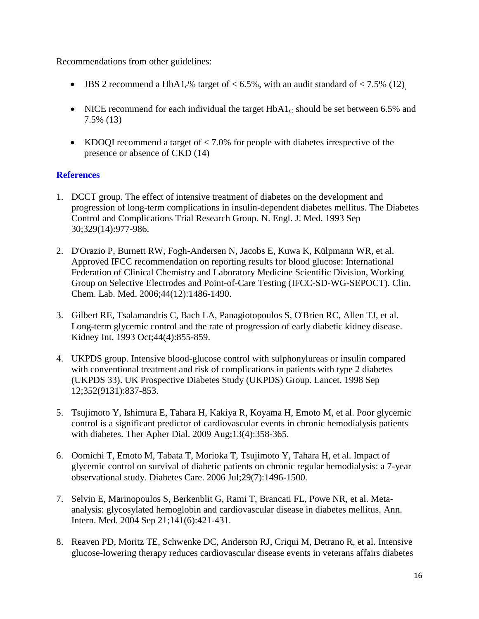Recommendations from other guidelines:

- JBS 2 recommend a HbA1<sub>c</sub>% target of  $< 6.5\%$ , with an audit standard of  $< 7.5\%$  (12)
- NICE recommend for each individual the target  $HbA1<sub>C</sub>$  should be set between 6.5% and 7.5% (13)
- KDOQI recommend a target of  $\langle 7.0\%$  for people with diabetes irrespective of the presence or absence of CKD (14)

- 1. DCCT group. The effect of intensive treatment of diabetes on the development and progression of long-term complications in insulin-dependent diabetes mellitus. The Diabetes Control and Complications Trial Research Group. N. Engl. J. Med. 1993 Sep 30;329(14):977-986.
- 2. D'Orazio P, Burnett RW, Fogh-Andersen N, Jacobs E, Kuwa K, Külpmann WR, et al. Approved IFCC recommendation on reporting results for blood glucose: International Federation of Clinical Chemistry and Laboratory Medicine Scientific Division, Working Group on Selective Electrodes and Point-of-Care Testing (IFCC-SD-WG-SEPOCT). Clin. Chem. Lab. Med. 2006;44(12):1486-1490.
- 3. Gilbert RE, Tsalamandris C, Bach LA, Panagiotopoulos S, O'Brien RC, Allen TJ, et al. Long-term glycemic control and the rate of progression of early diabetic kidney disease. Kidney Int. 1993 Oct;44(4):855-859.
- 4. UKPDS group. Intensive blood-glucose control with sulphonylureas or insulin compared with conventional treatment and risk of complications in patients with type 2 diabetes (UKPDS 33). UK Prospective Diabetes Study (UKPDS) Group. Lancet. 1998 Sep 12;352(9131):837-853.
- 5. Tsujimoto Y, Ishimura E, Tahara H, Kakiya R, Koyama H, Emoto M, et al. Poor glycemic control is a significant predictor of cardiovascular events in chronic hemodialysis patients with diabetes. Ther Apher Dial. 2009 Aug;13(4):358-365.
- 6. Oomichi T, Emoto M, Tabata T, Morioka T, Tsujimoto Y, Tahara H, et al. Impact of glycemic control on survival of diabetic patients on chronic regular hemodialysis: a 7-year observational study. Diabetes Care. 2006 Jul;29(7):1496-1500.
- 7. Selvin E, Marinopoulos S, Berkenblit G, Rami T, Brancati FL, Powe NR, et al. Metaanalysis: glycosylated hemoglobin and cardiovascular disease in diabetes mellitus. Ann. Intern. Med. 2004 Sep 21;141(6):421-431.
- 8. Reaven PD, Moritz TE, Schwenke DC, Anderson RJ, Criqui M, Detrano R, et al. Intensive glucose-lowering therapy reduces cardiovascular disease events in veterans affairs diabetes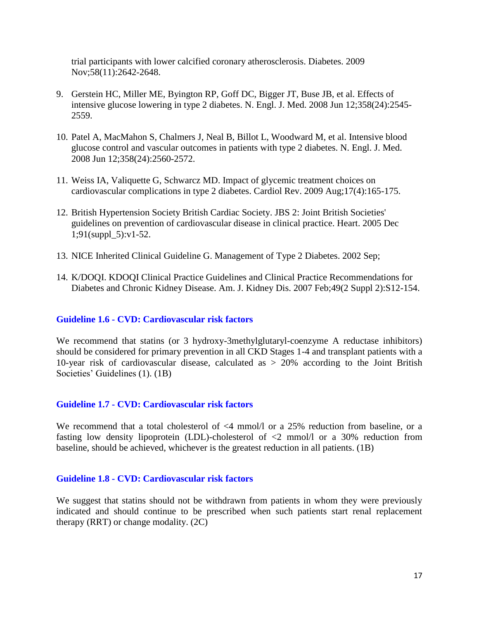trial participants with lower calcified coronary atherosclerosis. Diabetes. 2009 Nov;58(11):2642-2648.

- 9. Gerstein HC, Miller ME, Byington RP, Goff DC, Bigger JT, Buse JB, et al. Effects of intensive glucose lowering in type 2 diabetes. N. Engl. J. Med. 2008 Jun 12;358(24):2545- 2559.
- 10. Patel A, MacMahon S, Chalmers J, Neal B, Billot L, Woodward M, et al. Intensive blood glucose control and vascular outcomes in patients with type 2 diabetes. N. Engl. J. Med. 2008 Jun 12;358(24):2560-2572.
- 11. Weiss IA, Valiquette G, Schwarcz MD. Impact of glycemic treatment choices on cardiovascular complications in type 2 diabetes. Cardiol Rev. 2009 Aug;17(4):165-175.
- 12. British Hypertension Society British Cardiac Society. JBS 2: Joint British Societies' guidelines on prevention of cardiovascular disease in clinical practice. Heart. 2005 Dec 1;91(suppl\_5):v1-52.
- 13. NICE Inherited Clinical Guideline G. Management of Type 2 Diabetes. 2002 Sep;
- 14. K/DOQI. KDOQI Clinical Practice Guidelines and Clinical Practice Recommendations for Diabetes and Chronic Kidney Disease. Am. J. Kidney Dis. 2007 Feb;49(2 Suppl 2):S12-154.

#### **Guideline 1.6 - CVD: Cardiovascular risk factors**

We recommend that statins (or 3 hydroxy-3methylglutaryl-coenzyme A reductase inhibitors) should be considered for primary prevention in all CKD Stages 1-4 and transplant patients with a 10-year risk of cardiovascular disease, calculated as > 20% according to the Joint British Societies' Guidelines (1). (1B)

#### **Guideline 1.7 - CVD: Cardiovascular risk factors**

We recommend that a total cholesterol of <4 mmol/l or a 25% reduction from baseline, or a fasting low density lipoprotein (LDL)-cholesterol of <2 mmol/l or a 30% reduction from baseline, should be achieved, whichever is the greatest reduction in all patients. (1B)

### **Guideline 1.8 - CVD: Cardiovascular risk factors**

We suggest that statins should not be withdrawn from patients in whom they were previously indicated and should continue to be prescribed when such patients start renal replacement therapy (RRT) or change modality. (2C)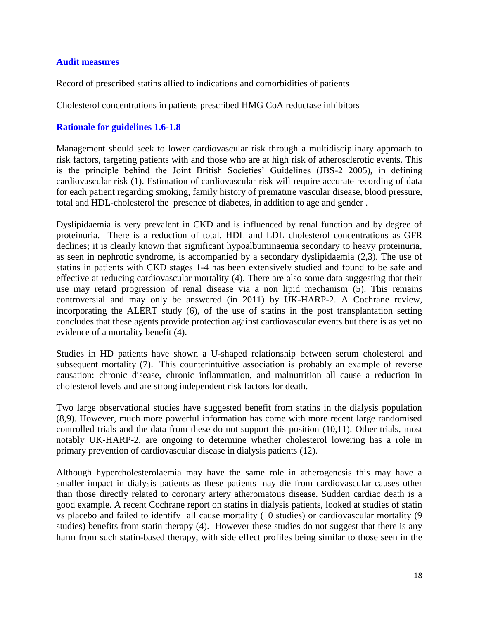#### **Audit measures**

Record of prescribed statins allied to indications and comorbidities of patients

Cholesterol concentrations in patients prescribed HMG CoA reductase inhibitors

#### **Rationale for guidelines 1.6-1.8**

Management should seek to lower cardiovascular risk through a multidisciplinary approach to risk factors, targeting patients with and those who are at high risk of atherosclerotic events. This is the principle behind the Joint British Societies' Guidelines (JBS-2 2005), in defining cardiovascular risk (1). Estimation of cardiovascular risk will require accurate recording of data for each patient regarding smoking, family history of premature vascular disease, blood pressure, total and HDL-cholesterol the presence of diabetes, in addition to age and gender .

Dyslipidaemia is very prevalent in CKD and is influenced by renal function and by degree of proteinuria. There is a reduction of total, HDL and LDL cholesterol concentrations as GFR declines; it is clearly known that significant hypoalbuminaemia secondary to heavy proteinuria, as seen in nephrotic syndrome, is accompanied by a secondary dyslipidaemia (2,3). The use of statins in patients with CKD stages 1-4 has been extensively studied and found to be safe and effective at reducing cardiovascular mortality (4). There are also some data suggesting that their use may retard progression of renal disease via a non lipid mechanism (5). This remains controversial and may only be answered (in 2011) by UK-HARP-2. A Cochrane review, incorporating the ALERT study (6), of the use of statins in the post transplantation setting concludes that these agents provide protection against cardiovascular events but there is as yet no evidence of a mortality benefit (4).

Studies in HD patients have shown a U-shaped relationship between serum cholesterol and subsequent mortality (7). This counterintuitive association is probably an example of reverse causation: chronic disease, chronic inflammation, and malnutrition all cause a reduction in cholesterol levels and are strong independent risk factors for death.

Two large observational studies have suggested benefit from statins in the dialysis population (8,9). However, much more powerful information has come with more recent large randomised controlled trials and the data from these do not support this position (10,11). Other trials, most notably UK-HARP-2, are ongoing to determine whether cholesterol lowering has a role in primary prevention of cardiovascular disease in dialysis patients (12).

Although hypercholesterolaemia may have the same role in atherogenesis this may have a smaller impact in dialysis patients as these patients may die from cardiovascular causes other than those directly related to coronary artery atheromatous disease. Sudden cardiac death is a good example. A recent Cochrane report on statins in dialysis patients, looked at studies of statin vs placebo and failed to identify all cause mortality (10 studies) or cardiovascular mortality (9 studies) benefits from statin therapy (4). However these studies do not suggest that there is any harm from such statin-based therapy, with side effect profiles being similar to those seen in the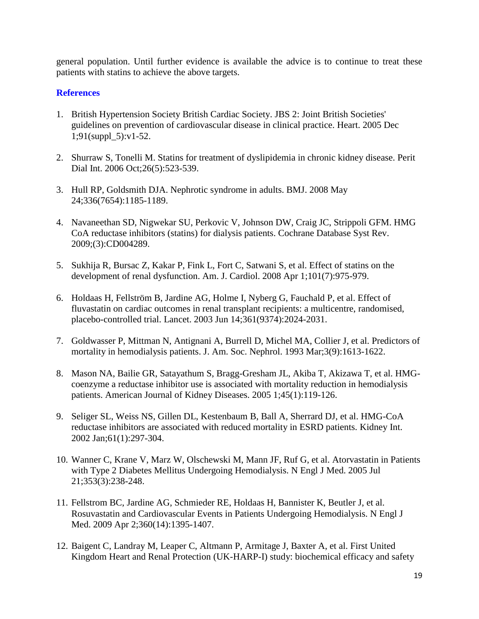general population. Until further evidence is available the advice is to continue to treat these patients with statins to achieve the above targets.

- 1. British Hypertension Society British Cardiac Society. JBS 2: Joint British Societies' guidelines on prevention of cardiovascular disease in clinical practice. Heart. 2005 Dec 1;91(suppl\_5):v1-52.
- 2. Shurraw S, Tonelli M. Statins for treatment of dyslipidemia in chronic kidney disease. Perit Dial Int. 2006 Oct;26(5):523-539.
- 3. Hull RP, Goldsmith DJA. Nephrotic syndrome in adults. BMJ. 2008 May 24;336(7654):1185-1189.
- 4. Navaneethan SD, Nigwekar SU, Perkovic V, Johnson DW, Craig JC, Strippoli GFM. HMG CoA reductase inhibitors (statins) for dialysis patients. Cochrane Database Syst Rev. 2009;(3):CD004289.
- 5. Sukhija R, Bursac Z, Kakar P, Fink L, Fort C, Satwani S, et al. Effect of statins on the development of renal dysfunction. Am. J. Cardiol. 2008 Apr 1;101(7):975-979.
- 6. Holdaas H, Fellström B, Jardine AG, Holme I, Nyberg G, Fauchald P, et al. Effect of fluvastatin on cardiac outcomes in renal transplant recipients: a multicentre, randomised, placebo-controlled trial. Lancet. 2003 Jun 14;361(9374):2024-2031.
- 7. Goldwasser P, Mittman N, Antignani A, Burrell D, Michel MA, Collier J, et al. Predictors of mortality in hemodialysis patients. J. Am. Soc. Nephrol. 1993 Mar;3(9):1613-1622.
- 8. Mason NA, Bailie GR, Satayathum S, Bragg-Gresham JL, Akiba T, Akizawa T, et al. HMGcoenzyme a reductase inhibitor use is associated with mortality reduction in hemodialysis patients. American Journal of Kidney Diseases. 2005 1;45(1):119-126.
- 9. Seliger SL, Weiss NS, Gillen DL, Kestenbaum B, Ball A, Sherrard DJ, et al. HMG-CoA reductase inhibitors are associated with reduced mortality in ESRD patients. Kidney Int. 2002 Jan;61(1):297-304.
- 10. Wanner C, Krane V, Marz W, Olschewski M, Mann JF, Ruf G, et al. Atorvastatin in Patients with Type 2 Diabetes Mellitus Undergoing Hemodialysis. N Engl J Med. 2005 Jul 21;353(3):238-248.
- 11. Fellstrom BC, Jardine AG, Schmieder RE, Holdaas H, Bannister K, Beutler J, et al. Rosuvastatin and Cardiovascular Events in Patients Undergoing Hemodialysis. N Engl J Med. 2009 Apr 2;360(14):1395-1407.
- 12. Baigent C, Landray M, Leaper C, Altmann P, Armitage J, Baxter A, et al. First United Kingdom Heart and Renal Protection (UK-HARP-I) study: biochemical efficacy and safety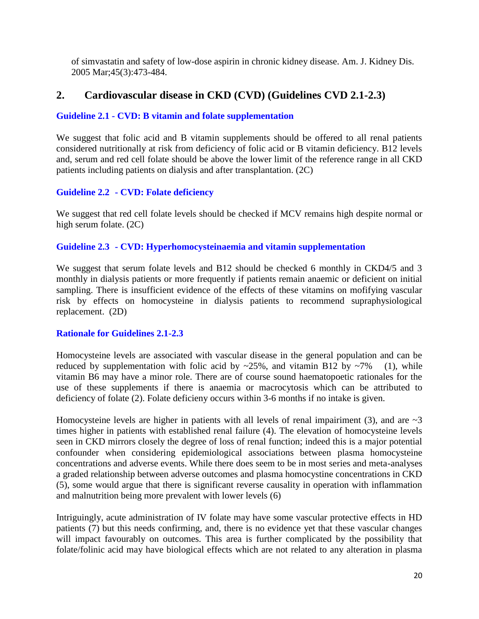of simvastatin and safety of low-dose aspirin in chronic kidney disease. Am. J. Kidney Dis. 2005 Mar;45(3):473-484.

# **2. Cardiovascular disease in CKD (CVD) (Guidelines CVD 2.1-2.3)**

## **Guideline 2.1 - CVD: B vitamin and folate supplementation**

We suggest that folic acid and B vitamin supplements should be offered to all renal patients considered nutritionally at risk from deficiency of folic acid or B vitamin deficiency. B12 levels and, serum and red cell folate should be above the lower limit of the reference range in all CKD patients including patients on dialysis and after transplantation. (2C)

## **Guideline 2.2 - CVD: Folate deficiency**

We suggest that red cell folate levels should be checked if MCV remains high despite normal or high serum folate. (2C)

## **Guideline 2.3 - CVD: Hyperhomocysteinaemia and vitamin supplementation**

We suggest that serum folate levels and B12 should be checked 6 monthly in CKD4/5 and 3 monthly in dialysis patients or more frequently if patients remain anaemic or deficient on initial sampling. There is insufficient evidence of the effects of these vitamins on mofifying vascular risk by effects on homocysteine in dialysis patients to recommend supraphysiological replacement. (2D)

## **Rationale for Guidelines 2.1-2.3**

Homocysteine levels are associated with vascular disease in the general population and can be reduced by supplementation with folic acid by  $\sim$ 25%, and vitamin B12 by  $\sim$ 7% (1), while vitamin B6 may have a minor role. There are of course sound haematopoetic rationales for the use of these supplements if there is anaemia or macrocytosis which can be attributed to deficiency of folate (2). Folate deficieny occurs within 3-6 months if no intake is given.

Homocysteine levels are higher in patients with all levels of renal impairiment (3), and are  $\sim$ 3 times higher in patients with established renal failure (4). The elevation of homocysteine levels seen in CKD mirrors closely the degree of loss of renal function; indeed this is a major potential confounder when considering epidemiological associations between plasma homocysteine concentrations and adverse events. While there does seem to be in most series and meta-analyses a graded relationship between adverse outcomes and plasma homocystine concentrations in CKD (5), some would argue that there is significant reverse causality in operation with inflammation and malnutrition being more prevalent with lower levels (6)

Intriguingly, acute administration of IV folate may have some vascular protective effects in HD patients (7) but this needs confirming, and, there is no evidence yet that these vascular changes will impact favourably on outcomes. This area is further complicated by the possibility that folate/folinic acid may have biological effects which are not related to any alteration in plasma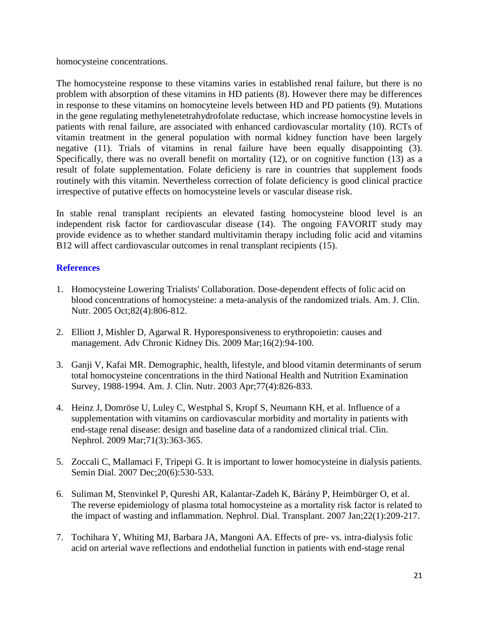homocysteine concentrations.

The homocysteine response to these vitamins varies in established renal failure, but there is no problem with absorption of these vitamins in HD patients (8). However there may be differences in response to these vitamins on homocyteine levels between HD and PD patients (9). Mutations in the gene regulating methylenetetrahydrofolate reductase, which increase homocystine levels in patients with renal failure, are associated with enhanced cardiovascular mortality (10). RCTs of vitamin treatment in the general population with normal kidney function have been largely negative (11). Trials of vitamins in renal failure have been equally disappointing (3). Specifically, there was no overall benefit on mortality (12), or on cognitive function (13) as a result of folate supplementation. Folate deficieny is rare in countries that supplement foods routinely with this vitamin. Nevertheless correction of folate deficiency is good clinical practice irrespective of putative effects on homocysteine levels or vascular disease risk.

In stable renal transplant recipients an elevated fasting homocysteine blood level is an independent risk factor for cardiovascular disease (14). The ongoing FAVORIT study may provide evidence as to whether standard multivitamin therapy including folic acid and vitamins B12 will affect cardiovascular outcomes in renal transplant recipients (15).

- 1. Homocysteine Lowering Trialists' Collaboration. Dose-dependent effects of folic acid on blood concentrations of homocysteine: a meta-analysis of the randomized trials. Am. J. Clin. Nutr. 2005 Oct;82(4):806-812.
- 2. Elliott J, Mishler D, Agarwal R. Hyporesponsiveness to erythropoietin: causes and management. Adv Chronic Kidney Dis. 2009 Mar;16(2):94-100.
- 3. Ganji V, Kafai MR. Demographic, health, lifestyle, and blood vitamin determinants of serum total homocysteine concentrations in the third National Health and Nutrition Examination Survey, 1988-1994. Am. J. Clin. Nutr. 2003 Apr;77(4):826-833.
- 4. Heinz J, Domröse U, Luley C, Westphal S, Kropf S, Neumann KH, et al. Influence of a supplementation with vitamins on cardiovascular morbidity and mortality in patients with end-stage renal disease: design and baseline data of a randomized clinical trial. Clin. Nephrol. 2009 Mar;71(3):363-365.
- 5. Zoccali C, Mallamaci F, Tripepi G. It is important to lower homocysteine in dialysis patients. Semin Dial. 2007 Dec;20(6):530-533.
- 6. Suliman M, Stenvinkel P, Qureshi AR, Kalantar-Zadeh K, Bárány P, Heimbürger O, et al. The reverse epidemiology of plasma total homocysteine as a mortality risk factor is related to the impact of wasting and inflammation. Nephrol. Dial. Transplant. 2007 Jan;22(1):209-217.
- 7. Tochihara Y, Whiting MJ, Barbara JA, Mangoni AA. Effects of pre- vs. intra-dialysis folic acid on arterial wave reflections and endothelial function in patients with end-stage renal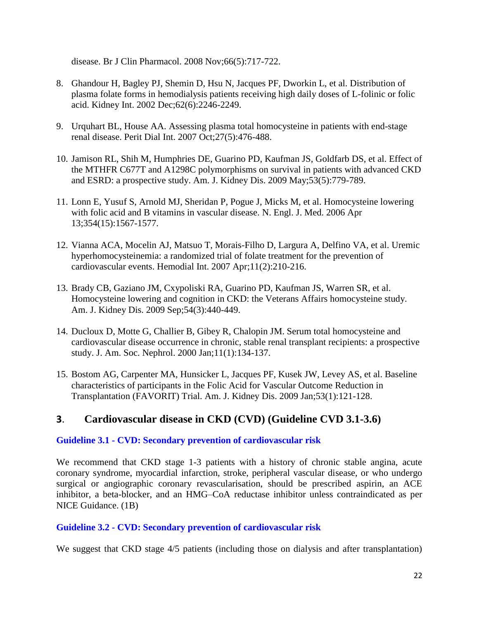disease. Br J Clin Pharmacol. 2008 Nov;66(5):717-722.

- 8. Ghandour H, Bagley PJ, Shemin D, Hsu N, Jacques PF, Dworkin L, et al. Distribution of plasma folate forms in hemodialysis patients receiving high daily doses of L-folinic or folic acid. Kidney Int. 2002 Dec;62(6):2246-2249.
- 9. Urquhart BL, House AA. Assessing plasma total homocysteine in patients with end-stage renal disease. Perit Dial Int. 2007 Oct;27(5):476-488.
- 10. Jamison RL, Shih M, Humphries DE, Guarino PD, Kaufman JS, Goldfarb DS, et al. Effect of the MTHFR C677T and A1298C polymorphisms on survival in patients with advanced CKD and ESRD: a prospective study. Am. J. Kidney Dis. 2009 May;53(5):779-789.
- 11. Lonn E, Yusuf S, Arnold MJ, Sheridan P, Pogue J, Micks M, et al. Homocysteine lowering with folic acid and B vitamins in vascular disease. N. Engl. J. Med. 2006 Apr 13;354(15):1567-1577.
- 12. Vianna ACA, Mocelin AJ, Matsuo T, Morais-Filho D, Largura A, Delfino VA, et al. Uremic hyperhomocysteinemia: a randomized trial of folate treatment for the prevention of cardiovascular events. Hemodial Int. 2007 Apr;11(2):210-216.
- 13. Brady CB, Gaziano JM, Cxypoliski RA, Guarino PD, Kaufman JS, Warren SR, et al. Homocysteine lowering and cognition in CKD: the Veterans Affairs homocysteine study. Am. J. Kidney Dis. 2009 Sep;54(3):440-449.
- 14. Ducloux D, Motte G, Challier B, Gibey R, Chalopin JM. Serum total homocysteine and cardiovascular disease occurrence in chronic, stable renal transplant recipients: a prospective study. J. Am. Soc. Nephrol. 2000 Jan;11(1):134-137.
- 15. Bostom AG, Carpenter MA, Hunsicker L, Jacques PF, Kusek JW, Levey AS, et al. Baseline characteristics of participants in the Folic Acid for Vascular Outcome Reduction in Transplantation (FAVORIT) Trial. Am. J. Kidney Dis. 2009 Jan;53(1):121-128.

# **3**. **Cardiovascular disease in CKD (CVD) (Guideline CVD 3.1-3.6)**

## **Guideline 3.1 - CVD: Secondary prevention of cardiovascular risk**

We recommend that CKD stage 1-3 patients with a history of chronic stable angina, acute coronary syndrome, myocardial infarction, stroke, peripheral vascular disease, or who undergo surgical or angiographic coronary revascularisation, should be prescribed aspirin, an ACE inhibitor, a beta-blocker, and an HMG–CoA reductase inhibitor unless contraindicated as per NICE Guidance. (1B)

## **Guideline 3.2 - CVD: Secondary prevention of cardiovascular risk**

We suggest that CKD stage  $4/5$  patients (including those on dialysis and after transplantation)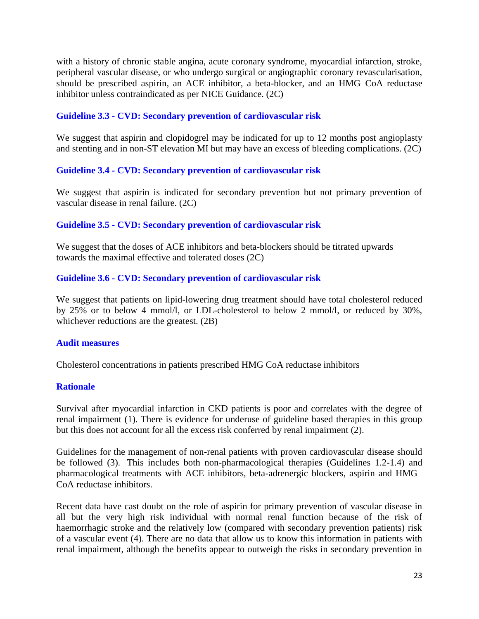with a history of chronic stable angina, acute coronary syndrome, myocardial infarction, stroke, peripheral vascular disease, or who undergo surgical or angiographic coronary revascularisation, should be prescribed aspirin, an ACE inhibitor, a beta-blocker, and an HMG–CoA reductase inhibitor unless contraindicated as per NICE Guidance. (2C)

## **Guideline 3.3 - CVD: Secondary prevention of cardiovascular risk**

We suggest that aspirin and clopidogrel may be indicated for up to 12 months post angioplasty and stenting and in non-ST elevation MI but may have an excess of bleeding complications. (2C)

## **Guideline 3.4 - CVD: Secondary prevention of cardiovascular risk**

We suggest that aspirin is indicated for secondary prevention but not primary prevention of vascular disease in renal failure. (2C)

## **Guideline 3.5 - CVD: Secondary prevention of cardiovascular risk**

We suggest that the doses of ACE inhibitors and beta-blockers should be titrated upwards towards the maximal effective and tolerated doses (2C)

## **Guideline 3.6 - CVD: Secondary prevention of cardiovascular risk**

We suggest that patients on lipid-lowering drug treatment should have total cholesterol reduced by 25% or to below 4 mmol/l, or LDL-cholesterol to below 2 mmol/l, or reduced by 30%, whichever reductions are the greatest. (2B)

#### **Audit measures**

Cholesterol concentrations in patients prescribed HMG CoA reductase inhibitors

## **Rationale**

Survival after myocardial infarction in CKD patients is poor and correlates with the degree of renal impairment (1). There is evidence for underuse of guideline based therapies in this group but this does not account for all the excess risk conferred by renal impairment (2).

Guidelines for the management of non-renal patients with proven cardiovascular disease should be followed (3). This includes both non-pharmacological therapies (Guidelines 1.2-1.4) and pharmacological treatments with ACE inhibitors, beta-adrenergic blockers, aspirin and HMG– CoA reductase inhibitors.

Recent data have cast doubt on the role of aspirin for primary prevention of vascular disease in all but the very high risk individual with normal renal function because of the risk of haemorrhagic stroke and the relatively low (compared with secondary prevention patients) risk of a vascular event (4). There are no data that allow us to know this information in patients with renal impairment, although the benefits appear to outweigh the risks in secondary prevention in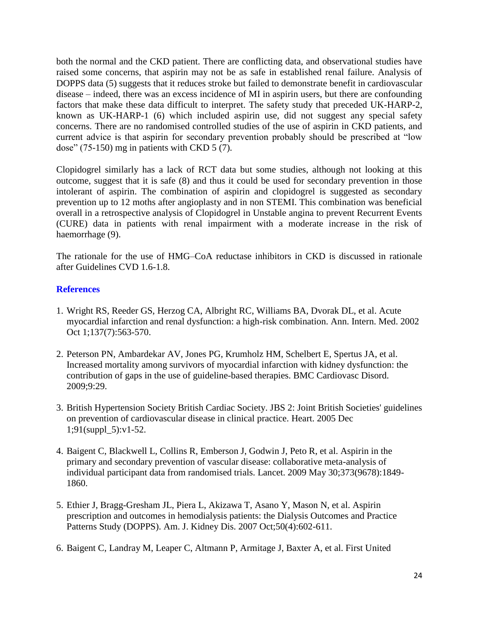both the normal and the CKD patient. There are conflicting data, and observational studies have raised some concerns, that aspirin may not be as safe in established renal failure. Analysis of DOPPS data (5) suggests that it reduces stroke but failed to demonstrate benefit in cardiovascular disease – indeed, there was an excess incidence of MI in aspirin users, but there are confounding factors that make these data difficult to interpret. The safety study that preceded UK-HARP-2, known as UK-HARP-1 (6) which included aspirin use, did not suggest any special safety concerns. There are no randomised controlled studies of the use of aspirin in CKD patients, and current advice is that aspirin for secondary prevention probably should be prescribed at "low dose" (75-150) mg in patients with CKD 5 (7).

Clopidogrel similarly has a lack of RCT data but some studies, although not looking at this outcome, suggest that it is safe (8) and thus it could be used for secondary prevention in those intolerant of aspirin. The combination of aspirin and clopidogrel is suggested as secondary prevention up to 12 moths after angioplasty and in non STEMI. This combination was beneficial overall in a retrospective analysis of Clopidogrel in Unstable angina to prevent Recurrent Events (CURE) data in patients with renal impairment with a moderate increase in the risk of haemorrhage (9).

The rationale for the use of HMG–CoA reductase inhibitors in CKD is discussed in rationale after Guidelines CVD 1.6-1.8.

- 1. Wright RS, Reeder GS, Herzog CA, Albright RC, Williams BA, Dvorak DL, et al. Acute myocardial infarction and renal dysfunction: a high-risk combination. Ann. Intern. Med. 2002 Oct 1;137(7):563-570.
- 2. Peterson PN, Ambardekar AV, Jones PG, Krumholz HM, Schelbert E, Spertus JA, et al. Increased mortality among survivors of myocardial infarction with kidney dysfunction: the contribution of gaps in the use of guideline-based therapies. BMC Cardiovasc Disord. 2009;9:29.
- 3. British Hypertension Society British Cardiac Society. JBS 2: Joint British Societies' guidelines on prevention of cardiovascular disease in clinical practice. Heart. 2005 Dec 1;91(suppl\_5):v1-52.
- 4. Baigent C, Blackwell L, Collins R, Emberson J, Godwin J, Peto R, et al. Aspirin in the primary and secondary prevention of vascular disease: collaborative meta-analysis of individual participant data from randomised trials. Lancet. 2009 May 30;373(9678):1849- 1860.
- 5. Ethier J, Bragg-Gresham JL, Piera L, Akizawa T, Asano Y, Mason N, et al. Aspirin prescription and outcomes in hemodialysis patients: the Dialysis Outcomes and Practice Patterns Study (DOPPS). Am. J. Kidney Dis. 2007 Oct;50(4):602-611.
- 6. Baigent C, Landray M, Leaper C, Altmann P, Armitage J, Baxter A, et al. First United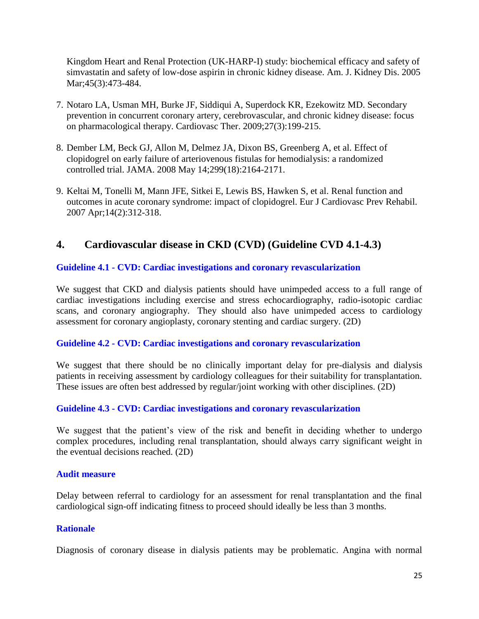Kingdom Heart and Renal Protection (UK-HARP-I) study: biochemical efficacy and safety of simvastatin and safety of low-dose aspirin in chronic kidney disease. Am. J. Kidney Dis. 2005 Mar; 45(3): 473-484.

- 7. Notaro LA, Usman MH, Burke JF, Siddiqui A, Superdock KR, Ezekowitz MD. Secondary prevention in concurrent coronary artery, cerebrovascular, and chronic kidney disease: focus on pharmacological therapy. Cardiovasc Ther. 2009;27(3):199-215.
- 8. Dember LM, Beck GJ, Allon M, Delmez JA, Dixon BS, Greenberg A, et al. Effect of clopidogrel on early failure of arteriovenous fistulas for hemodialysis: a randomized controlled trial. JAMA. 2008 May 14;299(18):2164-2171.
- 9. Keltai M, Tonelli M, Mann JFE, Sitkei E, Lewis BS, Hawken S, et al. Renal function and outcomes in acute coronary syndrome: impact of clopidogrel. Eur J Cardiovasc Prev Rehabil. 2007 Apr;14(2):312-318.

# **4. Cardiovascular disease in CKD (CVD) (Guideline CVD 4.1-4.3)**

## **Guideline 4.1 - CVD: Cardiac investigations and coronary revascularization**

We suggest that CKD and dialysis patients should have unimpeded access to a full range of cardiac investigations including exercise and stress echocardiography, radio-isotopic cardiac scans, and coronary angiography. They should also have unimpeded access to cardiology assessment for coronary angioplasty, coronary stenting and cardiac surgery. (2D)

## **Guideline 4.2 - CVD: Cardiac investigations and coronary revascularization**

We suggest that there should be no clinically important delay for pre-dialysis and dialysis patients in receiving assessment by cardiology colleagues for their suitability for transplantation. These issues are often best addressed by regular/joint working with other disciplines. (2D)

## **Guideline 4.3 - CVD: Cardiac investigations and coronary revascularization**

We suggest that the patient's view of the risk and benefit in deciding whether to undergo complex procedures, including renal transplantation, should always carry significant weight in the eventual decisions reached. (2D)

#### **Audit measure**

Delay between referral to cardiology for an assessment for renal transplantation and the final cardiological sign-off indicating fitness to proceed should ideally be less than 3 months.

## **Rationale**

Diagnosis of coronary disease in dialysis patients may be problematic. Angina with normal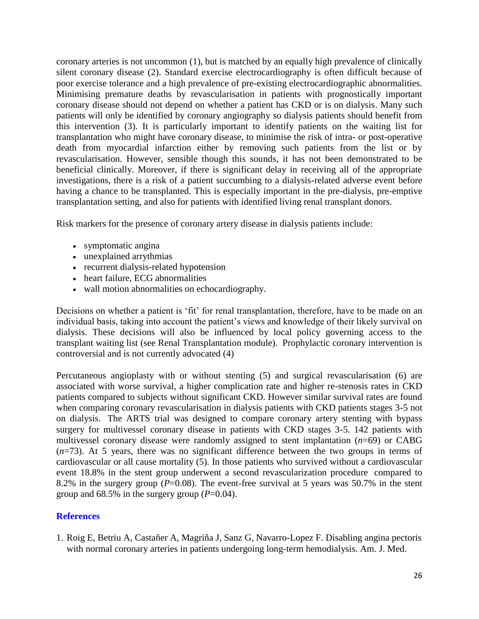coronary arteries is not uncommon (1), but is matched by an equally high prevalence of clinically silent coronary disease (2). Standard exercise electrocardiography is often difficult because of poor exercise tolerance and a high prevalence of pre-existing electrocardiographic abnormalities. Minimising premature deaths by revascularisation in patients with prognostically important coronary disease should not depend on whether a patient has CKD or is on dialysis. Many such patients will only be identified by coronary angiography so dialysis patients should benefit from this intervention (3). It is particularly important to identify patients on the waiting list for transplantation who might have coronary disease, to minimise the risk of intra- or post-operative death from myocardial infarction either by removing such patients from the list or by revascularisation. However, sensible though this sounds, it has not been demonstrated to be beneficial clinically. Moreover, if there is significant delay in receiving all of the appropriate investigations, there is a risk of a patient succumbing to a dialysis-related adverse event before having a chance to be transplanted. This is especially important in the pre-dialysis, pre-emptive transplantation setting, and also for patients with identified living renal transplant donors.

Risk markers for the presence of coronary artery disease in dialysis patients include:

- symptomatic angina
- unexplained arrythmias
- recurrent dialysis-related hypotension
- heart failure, ECG abnormalities
- wall motion abnormalities on echocardiography.

Decisions on whether a patient is 'fit' for renal transplantation, therefore, have to be made on an individual basis, taking into account the patient's views and knowledge of their likely survival on dialysis. These decisions will also be influenced by local policy governing access to the transplant waiting list (see Renal Transplantation module). Prophylactic coronary intervention is controversial and is not currently advocated (4)

Percutaneous angioplasty with or without stenting (5) and surgical revascularisation (6) are associated with worse survival, a higher complication rate and higher re-stenosis rates in CKD patients compared to subjects without significant CKD. However similar survival rates are found when comparing coronary revascularisation in dialysis patients with CKD patients stages 3-5 not on dialysis. The ARTS trial was designed to compare coronary artery stenting with bypass surgery for multivessel coronary disease in patients with CKD stages 3-5. 142 patients with multivessel coronary disease were randomly assigned to stent implantation (*n*=69) or CABG (*n*=73). At 5 years, there was no significant difference between the two groups in terms of cardiovascular or all cause mortality (5). In those patients who survived without a cardiovascular event 18.8% in the stent group underwent a second revascularization procedure compared to 8.2% in the surgery group  $(P=0.08)$ . The event-free survival at 5 years was 50.7% in the stent group and  $68.5\%$  in the surgery group ( $P=0.04$ ).

## **References**

1. Roig E, Betriu A, Castañer A, Magriña J, Sanz G, Navarro-Lopez F. Disabling angina pectoris with normal coronary arteries in patients undergoing long-term hemodialysis. Am. J. Med.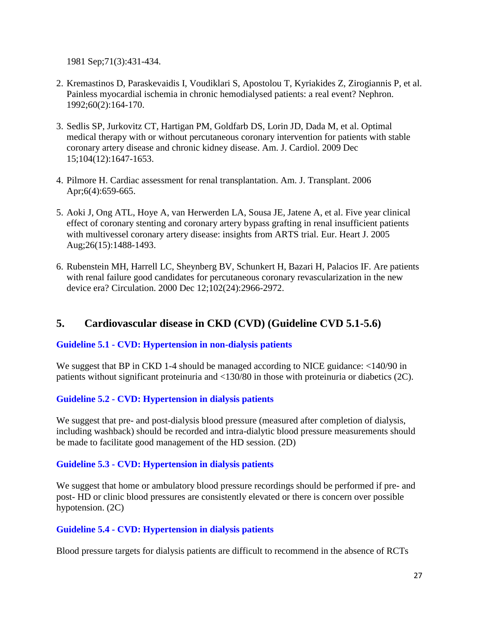1981 Sep;71(3):431-434.

- 2. Kremastinos D, Paraskevaidis I, Voudiklari S, Apostolou T, Kyriakides Z, Zirogiannis P, et al. Painless myocardial ischemia in chronic hemodialysed patients: a real event? Nephron. 1992;60(2):164-170.
- 3. Sedlis SP, Jurkovitz CT, Hartigan PM, Goldfarb DS, Lorin JD, Dada M, et al. Optimal medical therapy with or without percutaneous coronary intervention for patients with stable coronary artery disease and chronic kidney disease. Am. J. Cardiol. 2009 Dec 15;104(12):1647-1653.
- 4. Pilmore H. Cardiac assessment for renal transplantation. Am. J. Transplant. 2006 Apr;6(4):659-665.
- 5. Aoki J, Ong ATL, Hoye A, van Herwerden LA, Sousa JE, Jatene A, et al. Five year clinical effect of coronary stenting and coronary artery bypass grafting in renal insufficient patients with multivessel coronary artery disease: insights from ARTS trial. Eur. Heart J. 2005 Aug;26(15):1488-1493.
- 6. Rubenstein MH, Harrell LC, Sheynberg BV, Schunkert H, Bazari H, Palacios IF. Are patients with renal failure good candidates for percutaneous coronary revascularization in the new device era? Circulation. 2000 Dec 12;102(24):2966-2972.

# **5. Cardiovascular disease in CKD (CVD) (Guideline CVD 5.1-5.6)**

## **Guideline 5.1 - CVD: Hypertension in non-dialysis patients**

We suggest that BP in CKD 1-4 should be managed according to NICE guidance:  $\langle 140/90 \rangle$  in patients without significant proteinuria and <130/80 in those with proteinuria or diabetics (2C).

## **Guideline 5.2 - CVD: Hypertension in dialysis patients**

We suggest that pre- and post-dialysis blood pressure (measured after completion of dialysis, including washback) should be recorded and intra-dialytic blood pressure measurements should be made to facilitate good management of the HD session. (2D)

## **Guideline 5.3 - CVD: Hypertension in dialysis patients**

We suggest that home or ambulatory blood pressure recordings should be performed if pre- and post- HD or clinic blood pressures are consistently elevated or there is concern over possible hypotension. (2C)

## **Guideline 5.4 - CVD: Hypertension in dialysis patients**

Blood pressure targets for dialysis patients are difficult to recommend in the absence of RCTs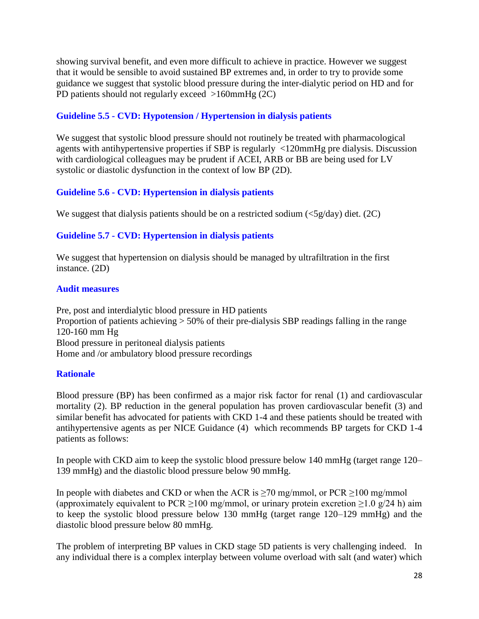showing survival benefit, and even more difficult to achieve in practice. However we suggest that it would be sensible to avoid sustained BP extremes and, in order to try to provide some guidance we suggest that systolic blood pressure during the inter-dialytic period on HD and for PD patients should not regularly exceed >160mmHg (2C)

## **Guideline 5.5 - CVD: Hypotension / Hypertension in dialysis patients**

We suggest that systolic blood pressure should not routinely be treated with pharmacological agents with antihypertensive properties if SBP is regularly <120mmHg pre dialysis. Discussion with cardiological colleagues may be prudent if ACEI, ARB or BB are being used for LV systolic or diastolic dysfunction in the context of low BP (2D).

## **Guideline 5.6 - CVD: Hypertension in dialysis patients**

We suggest that dialysis patients should be on a restricted sodium  $\langle \langle 5g/day \rangle$  diet. (2C)

## **Guideline 5.7 - CVD: Hypertension in dialysis patients**

We suggest that hypertension on dialysis should be managed by ultrafiltration in the first instance. (2D)

### **Audit measures**

Pre, post and interdialytic blood pressure in HD patients Proportion of patients achieving > 50% of their pre-dialysis SBP readings falling in the range 120-160 mm Hg Blood pressure in peritoneal dialysis patients Home and /or ambulatory blood pressure recordings

## **Rationale**

Blood pressure (BP) has been confirmed as a major risk factor for renal (1) and cardiovascular mortality (2). BP reduction in the general population has proven cardiovascular benefit (3) and similar benefit has advocated for patients with CKD 1-4 and these patients should be treated with antihypertensive agents as per NICE Guidance (4) which recommends BP targets for CKD 1-4 patients as follows:

In people with CKD aim to keep the systolic blood pressure below 140 mmHg (target range 120– 139 mmHg) and the diastolic blood pressure below 90 mmHg.

In people with diabetes and CKD or when the ACR is  $\geq$ 70 mg/mmol, or PCR  $\geq$ 100 mg/mmol (approximately equivalent to PCR  $\geq$ 100 mg/mmol, or urinary protein excretion  $\geq$ 1.0 g/24 h) aim to keep the systolic blood pressure below 130 mmHg (target range 120–129 mmHg) and the diastolic blood pressure below 80 mmHg.

The problem of interpreting BP values in CKD stage 5D patients is very challenging indeed. In any individual there is a complex interplay between volume overload with salt (and water) which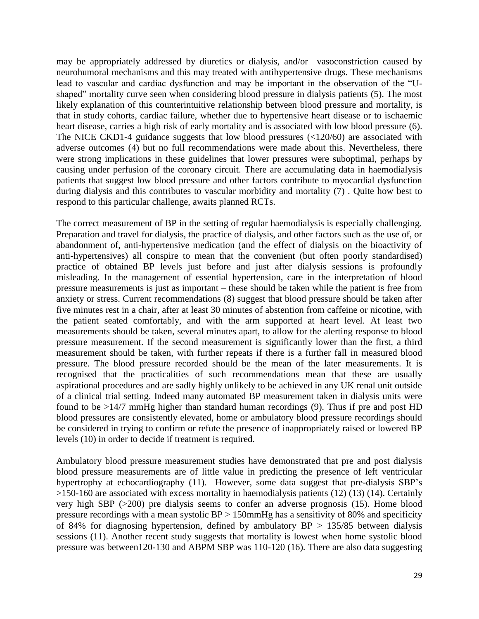may be appropriately addressed by diuretics or dialysis, and/or vasoconstriction caused by neurohumoral mechanisms and this may treated with antihypertensive drugs. These mechanisms lead to vascular and cardiac dysfunction and may be important in the observation of the "Ushaped" mortality curve seen when considering blood pressure in dialysis patients (5). The most likely explanation of this counterintuitive relationship between blood pressure and mortality, is that in study cohorts, cardiac failure, whether due to hypertensive heart disease or to ischaemic heart disease, carries a high risk of early mortality and is associated with low blood pressure (6). The NICE CKD1-4 guidance suggests that low blood pressures (<120/60) are associated with adverse outcomes (4) but no full recommendations were made about this. Nevertheless, there were strong implications in these guidelines that lower pressures were suboptimal, perhaps by causing under perfusion of the coronary circuit. There are accumulating data in haemodialysis patients that suggest low blood pressure and other factors contribute to myocardial dysfunction during dialysis and this contributes to vascular morbidity and mortality (7) . Quite how best to respond to this particular challenge, awaits planned RCTs.

The correct measurement of BP in the setting of regular haemodialysis is especially challenging. Preparation and travel for dialysis, the practice of dialysis, and other factors such as the use of, or abandonment of, anti-hypertensive medication (and the effect of dialysis on the bioactivity of anti-hypertensives) all conspire to mean that the convenient (but often poorly standardised) practice of obtained BP levels just before and just after dialysis sessions is profoundly misleading. In the management of essential hypertension, care in the interpretation of blood pressure measurements is just as important – these should be taken while the patient is free from anxiety or stress. Current recommendations (8) suggest that blood pressure should be taken after five minutes rest in a chair, after at least 30 minutes of abstention from caffeine or nicotine, with the patient seated comfortably, and with the arm supported at heart level. At least two measurements should be taken, several minutes apart, to allow for the alerting response to blood pressure measurement. If the second measurement is significantly lower than the first, a third measurement should be taken, with further repeats if there is a further fall in measured blood pressure. The blood pressure recorded should be the mean of the later measurements. It is recognised that the practicalities of such recommendations mean that these are usually aspirational procedures and are sadly highly unlikely to be achieved in any UK renal unit outside of a clinical trial setting. Indeed many automated BP measurement taken in dialysis units were found to be >14/7 mmHg higher than standard human recordings (9). Thus if pre and post HD blood pressures are consistently elevated, home or ambulatory blood pressure recordings should be considered in trying to confirm or refute the presence of inappropriately raised or lowered BP levels (10) in order to decide if treatment is required.

Ambulatory blood pressure measurement studies have demonstrated that pre and post dialysis blood pressure measurements are of little value in predicting the presence of left ventricular hypertrophy at echocardiography (11). However, some data suggest that pre-dialysis SBP's >150-160 are associated with excess mortality in haemodialysis patients (12) (13) (14). Certainly very high SBP (>200) pre dialysis seems to confer an adverse prognosis (15). Home blood pressure recordings with a mean systolic BP > 150mmHg has a sensitivity of 80% and specificity of 84% for diagnosing hypertension, defined by ambulatory  $BP > 135/85$  between dialysis sessions (11). Another recent study suggests that mortality is lowest when home systolic blood pressure was between120-130 and ABPM SBP was 110-120 (16). There are also data suggesting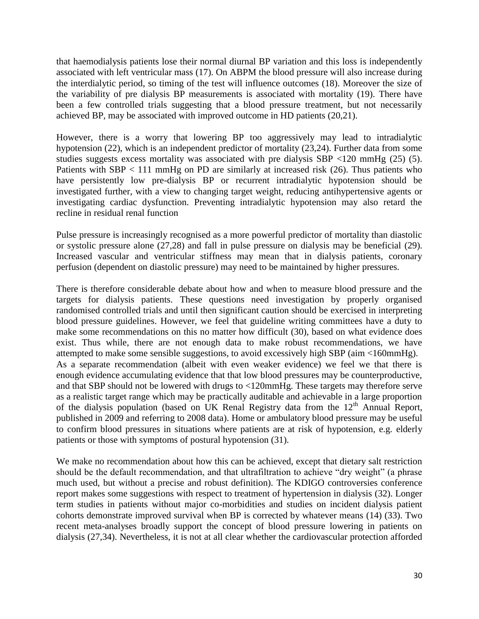that haemodialysis patients lose their normal diurnal BP variation and this loss is independently associated with left ventricular mass (17). On ABPM the blood pressure will also increase during the interdialytic period, so timing of the test will influence outcomes (18). Moreover the size of the variability of pre dialysis BP measurements is associated with mortality (19). There have been a few controlled trials suggesting that a blood pressure treatment, but not necessarily achieved BP, may be associated with improved outcome in HD patients (20,21).

However, there is a worry that lowering BP too aggressively may lead to intradialytic hypotension (22), which is an independent predictor of mortality (23,24). Further data from some studies suggests excess mortality was associated with pre dialysis SBP <120 mmHg (25) (5). Patients with  $SBP < 111$  mmHg on PD are similarly at increased risk (26). Thus patients who have persistently low pre-dialysis BP or recurrent intradialytic hypotension should be investigated further, with a view to changing target weight, reducing antihypertensive agents or investigating cardiac dysfunction. Preventing intradialytic hypotension may also retard the recline in residual renal function

Pulse pressure is increasingly recognised as a more powerful predictor of mortality than diastolic or systolic pressure alone (27,28) and fall in pulse pressure on dialysis may be beneficial (29). Increased vascular and ventricular stiffness may mean that in dialysis patients, coronary perfusion (dependent on diastolic pressure) may need to be maintained by higher pressures.

There is therefore considerable debate about how and when to measure blood pressure and the targets for dialysis patients. These questions need investigation by properly organised randomised controlled trials and until then significant caution should be exercised in interpreting blood pressure guidelines. However, we feel that guideline writing committees have a duty to make some recommendations on this no matter how difficult (30), based on what evidence does exist. Thus while, there are not enough data to make robust recommendations, we have attempted to make some sensible suggestions, to avoid excessively high SBP (aim <160mmHg). As a separate recommendation (albeit with even weaker evidence) we feel we that there is enough evidence accumulating evidence that that low blood pressures may be counterproductive, and that SBP should not be lowered with drugs to <120mmHg. These targets may therefore serve as a realistic target range which may be practically auditable and achievable in a large proportion of the dialysis population (based on UK Renal Registry data from the  $12<sup>th</sup>$  Annual Report, published in 2009 and referring to 2008 data). Home or ambulatory blood pressure may be useful to confirm blood pressures in situations where patients are at risk of hypotension, e.g. elderly patients or those with symptoms of postural hypotension (31).

We make no recommendation about how this can be achieved, except that dietary salt restriction should be the default recommendation, and that ultrafiltration to achieve "dry weight" (a phrase much used, but without a precise and robust definition). The KDIGO controversies conference report makes some suggestions with respect to treatment of hypertension in dialysis (32). Longer term studies in patients without major co-morbidities and studies on incident dialysis patient cohorts demonstrate improved survival when BP is corrected by whatever means (14) (33). Two recent meta-analyses broadly support the concept of blood pressure lowering in patients on dialysis (27,34). Nevertheless, it is not at all clear whether the cardiovascular protection afforded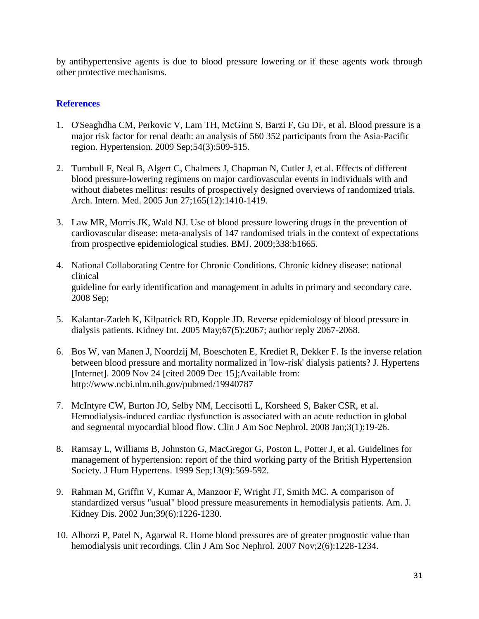by antihypertensive agents is due to blood pressure lowering or if these agents work through other protective mechanisms.

- 1. O'Seaghdha CM, Perkovic V, Lam TH, McGinn S, Barzi F, Gu DF, et al. Blood pressure is a major risk factor for renal death: an analysis of 560 352 participants from the Asia-Pacific region. Hypertension. 2009 Sep;54(3):509-515.
- 2. Turnbull F, Neal B, Algert C, Chalmers J, Chapman N, Cutler J, et al. Effects of different blood pressure-lowering regimens on major cardiovascular events in individuals with and without diabetes mellitus: results of prospectively designed overviews of randomized trials. Arch. Intern. Med. 2005 Jun 27;165(12):1410-1419.
- 3. Law MR, Morris JK, Wald NJ. Use of blood pressure lowering drugs in the prevention of cardiovascular disease: meta-analysis of 147 randomised trials in the context of expectations from prospective epidemiological studies. BMJ. 2009;338:b1665.
- 4. National Collaborating Centre for Chronic Conditions. Chronic kidney disease: national clinical guideline for early identification and management in adults in primary and secondary care. 2008 Sep;
- 5. Kalantar-Zadeh K, Kilpatrick RD, Kopple JD. Reverse epidemiology of blood pressure in dialysis patients. Kidney Int. 2005 May;67(5):2067; author reply 2067-2068.
- 6. Bos W, van Manen J, Noordzij M, Boeschoten E, Krediet R, Dekker F. Is the inverse relation between blood pressure and mortality normalized in 'low-risk' dialysis patients? J. Hypertens [Internet]. 2009 Nov 24 [cited 2009 Dec 15];Available from: http://www.ncbi.nlm.nih.gov/pubmed/19940787
- 7. McIntyre CW, Burton JO, Selby NM, Leccisotti L, Korsheed S, Baker CSR, et al. Hemodialysis-induced cardiac dysfunction is associated with an acute reduction in global and segmental myocardial blood flow. Clin J Am Soc Nephrol. 2008 Jan;3(1):19-26.
- 8. Ramsay L, Williams B, Johnston G, MacGregor G, Poston L, Potter J, et al. Guidelines for management of hypertension: report of the third working party of the British Hypertension Society. J Hum Hypertens. 1999 Sep;13(9):569-592.
- 9. Rahman M, Griffin V, Kumar A, Manzoor F, Wright JT, Smith MC. A comparison of standardized versus "usual" blood pressure measurements in hemodialysis patients. Am. J. Kidney Dis. 2002 Jun;39(6):1226-1230.
- 10. Alborzi P, Patel N, Agarwal R. Home blood pressures are of greater prognostic value than hemodialysis unit recordings. Clin J Am Soc Nephrol. 2007 Nov;2(6):1228-1234.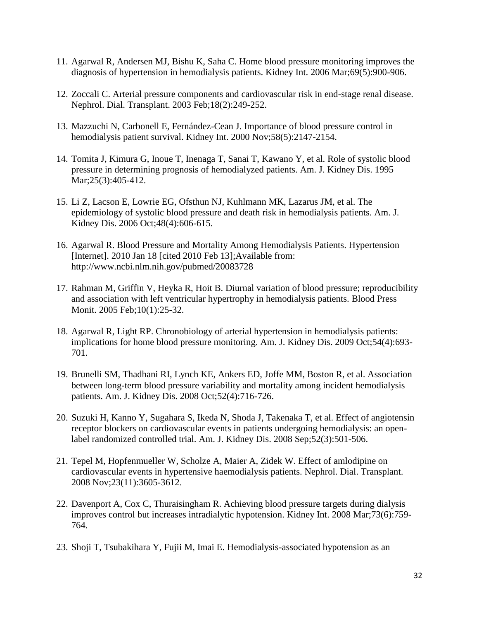- 11. Agarwal R, Andersen MJ, Bishu K, Saha C. Home blood pressure monitoring improves the diagnosis of hypertension in hemodialysis patients. Kidney Int. 2006 Mar;69(5):900-906.
- 12. Zoccali C. Arterial pressure components and cardiovascular risk in end-stage renal disease. Nephrol. Dial. Transplant. 2003 Feb;18(2):249-252.
- 13. Mazzuchi N, Carbonell E, Fernández-Cean J. Importance of blood pressure control in hemodialysis patient survival. Kidney Int. 2000 Nov;58(5):2147-2154.
- 14. Tomita J, Kimura G, Inoue T, Inenaga T, Sanai T, Kawano Y, et al. Role of systolic blood pressure in determining prognosis of hemodialyzed patients. Am. J. Kidney Dis. 1995 Mar; 25(3): 405-412.
- 15. Li Z, Lacson E, Lowrie EG, Ofsthun NJ, Kuhlmann MK, Lazarus JM, et al. The epidemiology of systolic blood pressure and death risk in hemodialysis patients. Am. J. Kidney Dis. 2006 Oct;48(4):606-615.
- 16. Agarwal R. Blood Pressure and Mortality Among Hemodialysis Patients. Hypertension [Internet]. 2010 Jan 18 [cited 2010 Feb 13]; Available from: http://www.ncbi.nlm.nih.gov/pubmed/20083728
- 17. Rahman M, Griffin V, Heyka R, Hoit B. Diurnal variation of blood pressure; reproducibility and association with left ventricular hypertrophy in hemodialysis patients. Blood Press Monit. 2005 Feb;10(1):25-32.
- 18. Agarwal R, Light RP. Chronobiology of arterial hypertension in hemodialysis patients: implications for home blood pressure monitoring. Am. J. Kidney Dis. 2009 Oct;54(4):693- 701.
- 19. Brunelli SM, Thadhani RI, Lynch KE, Ankers ED, Joffe MM, Boston R, et al. Association between long-term blood pressure variability and mortality among incident hemodialysis patients. Am. J. Kidney Dis. 2008 Oct;52(4):716-726.
- 20. Suzuki H, Kanno Y, Sugahara S, Ikeda N, Shoda J, Takenaka T, et al. Effect of angiotensin receptor blockers on cardiovascular events in patients undergoing hemodialysis: an openlabel randomized controlled trial. Am. J. Kidney Dis. 2008 Sep;52(3):501-506.
- 21. Tepel M, Hopfenmueller W, Scholze A, Maier A, Zidek W. Effect of amlodipine on cardiovascular events in hypertensive haemodialysis patients. Nephrol. Dial. Transplant. 2008 Nov;23(11):3605-3612.
- 22. Davenport A, Cox C, Thuraisingham R. Achieving blood pressure targets during dialysis improves control but increases intradialytic hypotension. Kidney Int. 2008 Mar;73(6):759- 764.
- 23. Shoji T, Tsubakihara Y, Fujii M, Imai E. Hemodialysis-associated hypotension as an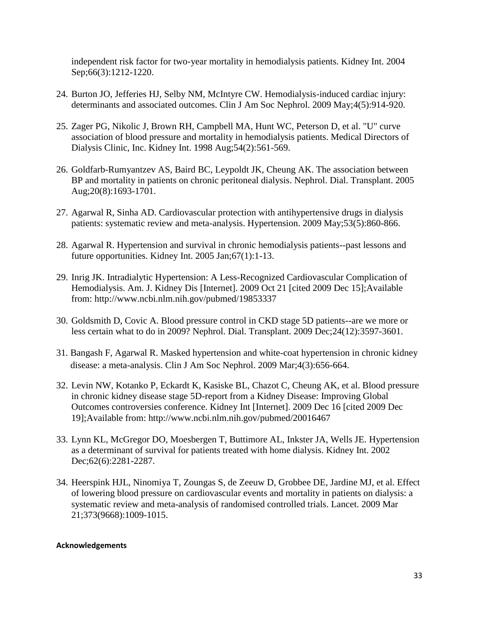independent risk factor for two-year mortality in hemodialysis patients. Kidney Int. 2004 Sep;66(3):1212-1220.

- 24. Burton JO, Jefferies HJ, Selby NM, McIntyre CW. Hemodialysis-induced cardiac injury: determinants and associated outcomes. Clin J Am Soc Nephrol. 2009 May;4(5):914-920.
- 25. Zager PG, Nikolic J, Brown RH, Campbell MA, Hunt WC, Peterson D, et al. "U" curve association of blood pressure and mortality in hemodialysis patients. Medical Directors of Dialysis Clinic, Inc. Kidney Int. 1998 Aug;54(2):561-569.
- 26. Goldfarb-Rumyantzev AS, Baird BC, Leypoldt JK, Cheung AK. The association between BP and mortality in patients on chronic peritoneal dialysis. Nephrol. Dial. Transplant. 2005 Aug;20(8):1693-1701.
- 27. Agarwal R, Sinha AD. Cardiovascular protection with antihypertensive drugs in dialysis patients: systematic review and meta-analysis. Hypertension. 2009 May;53(5):860-866.
- 28. Agarwal R. Hypertension and survival in chronic hemodialysis patients--past lessons and future opportunities. Kidney Int. 2005 Jan;67(1):1-13.
- 29. Inrig JK. Intradialytic Hypertension: A Less-Recognized Cardiovascular Complication of Hemodialysis. Am. J. Kidney Dis [Internet]. 2009 Oct 21 [cited 2009 Dec 15];Available from: http://www.ncbi.nlm.nih.gov/pubmed/19853337
- 30. Goldsmith D, Covic A. Blood pressure control in CKD stage 5D patients--are we more or less certain what to do in 2009? Nephrol. Dial. Transplant. 2009 Dec;24(12):3597-3601.
- 31. Bangash F, Agarwal R. Masked hypertension and white-coat hypertension in chronic kidney disease: a meta-analysis. Clin J Am Soc Nephrol. 2009 Mar;4(3):656-664.
- 32. Levin NW, Kotanko P, Eckardt K, Kasiske BL, Chazot C, Cheung AK, et al. Blood pressure in chronic kidney disease stage 5D-report from a Kidney Disease: Improving Global Outcomes controversies conference. Kidney Int [Internet]. 2009 Dec 16 [cited 2009 Dec 19];Available from: http://www.ncbi.nlm.nih.gov/pubmed/20016467
- 33. Lynn KL, McGregor DO, Moesbergen T, Buttimore AL, Inkster JA, Wells JE. Hypertension as a determinant of survival for patients treated with home dialysis. Kidney Int. 2002 Dec;62(6):2281-2287.
- 34. Heerspink HJL, Ninomiya T, Zoungas S, de Zeeuw D, Grobbee DE, Jardine MJ, et al. Effect of lowering blood pressure on cardiovascular events and mortality in patients on dialysis: a systematic review and meta-analysis of randomised controlled trials. Lancet. 2009 Mar 21;373(9668):1009-1015.

#### **Acknowledgements**